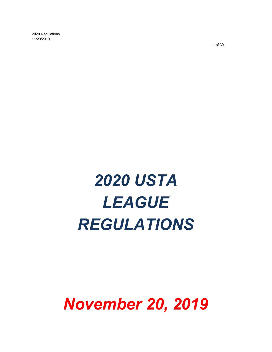2020 Regulations 11/20/2019

1 of 39

# *2020 USTA LEAGUE REGULATIONS*

# *November 20, 2019*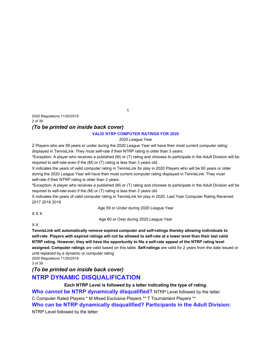2020 Regulations 11/20/2019 2 of 39

# *(To be printed on inside back cover)*

#### **VALID NTRP COMPUTER RATINGS FOR 2020**

#### 2020 League Year

2 Players who are 59 years or under during the 2020 League Year will have their most current computer rating displayed in TennisLink. They must self-rate if their NTRP rating is older than 3 years.

\*Exception: A player who receives a published (M) or (T) rating and chooses to participate in the Adult Division will be required to self-rate even if the (M) or (T) rating is less than 3 years old.

X indicates the years of valid computer rating in TennisLink for play in 2020 Players who will be 60 years or older during the 2020 League Year will have their most current computer rating displayed in TennisLink. They must self-rate if their NTRP rating is older than 2 years.

\*Exception: A player who receives a published (M) or (T) rating and chooses to participate in the Adult Division will be required to self-rate even if the (M) or (T) rating is less than 2 years old.

X indicates the years of valid computer rating in TennisLink for play in 2020. Last Year Computer Rating Received 2017 2018 2019

Age 59 or Under during 2020 League Year

X X X

Age 60 or Over during 2020 League Year

X X

**TennisLink will automatically remove expired computer and self-ratings thereby allowing individuals to self-rate. Players with expired ratings will not be allowed to self-rate at a lower level than their last valid NTRP rating. However, they will have the opportunity to file a self-rate appeal of the NTRP rating level assigned. Computer ratings** are valid based on this table. **Self-ratings** are valid for 2 years from the date issued or until replaced by a dynamic or computer rating.

2020 Regulations 11/20/2019 3 of 39

*(To be printed on inside back cover)*

# **NTRP DYNAMIC DISQUALIFICATION**

**Each NTRP Level is followed by a letter indicating the type of rating.**

**Who** *cannot* **be NTRP dynamically disqualified?** NTRP Level followed by the letter:

C Computer Rated Players \* M Mixed Exclusive Players \*\* T Tournament Players \*\*

**Who** *can* **be NTRP dynamically disqualified? Participants in the Adult Division:** NTRP Level followed by the letter:

1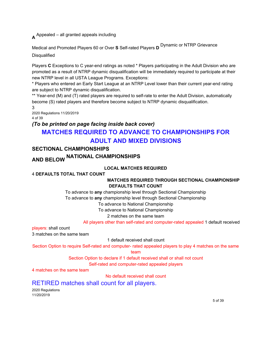**A** Appealed – all granted appeals including

Medical and Promoted Players 60 or Over **S** Self-rated Players **D** Dynamic or NTRP Grievance

**Disqualified** 

Players **C** Exceptions to C year-end ratings as noted \* Players participating in the Adult Division who are promoted as a result of NTRP dynamic disqualification will be immediately required to participate at their new NTRP level in all USTA League Programs. Exceptions:

\* Players who entered an Early Start League at an NTRP Level lower than their current year-end rating are subject to NTRP dynamic disqualification.

\*\* Year-end (M) and (T) rated players are required to self-rate to enter the Adult Division, automatically become (S) rated players and therefore become subject to NTRP dynamic disqualification.

3

2020 Regulations 11/20/2019

4 of 39

*(To be printed on page facing inside back cover)*

# **MATCHES REQUIRED TO ADVANCE TO CHAMPIONSHIPS FOR ADULT AND MIXED DIVISIONS**

# **SECTIONAL CHAMPIONSHIPS**

**AND BELOW NATIONAL CHAMPIONSHIPS**

# **LOCAL MATCHES REQUIRED**

4 **DEFAULTS TOTAL THAT COUNT**

**MATCHES REQUIRED THROUGH SECTIONAL CHAMPIONSHIP DEFAULTS THAT COUNT**

To advance to **any** championship level through Sectional Championship To advance to **any** championship level through Sectional Championship

To advance to National Championship

To advance to National Championship

2 matches on the same team

All players other than self-rated and computer-rated appealed 1 default received

players: shall count

3 matches on the same team

1 default received shall count

Section Option to require Self-rated and computer- rated appealed players to play 4 matches on the same

team

Section Option to declare if 1 default received shall or shall not count

Self-rated and computer-rated appealed players

4 matches on the same team

No default received shall count

RETIRED matches shall count for all players.

2020 Regulations 11/20/2019

5 of 39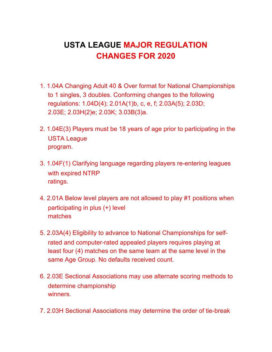# **USTA LEAGUE MAJOR REGULATION CHANGES FOR 2020**

- 1. 1.04A Changing Adult 40 & Over format for National Championships to 1 singles, 3 doubles. Conforming changes to the following regulations: 1.04D(4); 2.01A(1)b, c, e, f; 2.03A(5); 2.03D; 2.03E; 2.03H(2)e; 2.03K; 3.03B(3)a.
- 2. 1.04E(3) Players must be 18 years of age prior to participating in the USTA League program.
- 3. 1.04F(1) Clarifying language regarding players re-entering leagues with expired NTRP ratings.
- 4. 2.01A Below level players are not allowed to play #1 positions when participating in plus (+) level matches
- 5. 2.03A(4) Eligibility to advance to National Championships for selfrated and computer-rated appealed players requires playing at least four (4) matches on the same team at the same level in the same Age Group. No defaults received count.
- 6. 2.03E Sectional Associations may use alternate scoring methods to determine championship winners.
- 7. 2.03H Sectional Associations may determine the order of tie-break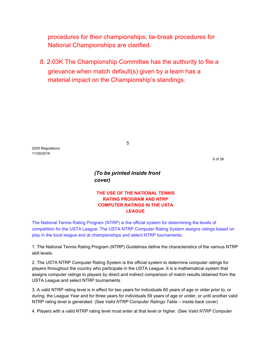procedures for their championships; tie-break procedures for National Championships are clarified.

8. 2.03K The Championship Committee has the authority to file a grievance when match default(s) given by a team has a material impact on the Championship's standings.

5

2020 Regulations 11/20/2019

6 of 39

*(To be printed inside front cover)*

# **THE USE OF THE NATIONAL TENNIS RATING PROGRAM AND NTRP COMPUTER RATINGS IN THE USTA LEAGUE**

The National Tennis Rating Program (NTRP) is the official system for determining the levels of competition for the USTA League. The USTA NTRP Computer Rating System assigns ratings based on play in the local league and at championships and select NTRP tournaments.

1. The National Tennis Rating Program (NTRP) Guidelines define the characteristics of the various NTRP skill levels.

2. The USTA NTRP Computer Rating System is the official system to determine computer ratings for players throughout the country who participate in the USTA League. It is a mathematical system that assigns computer ratings to players by direct and indirect comparison of match results obtained from the USTA League and select NTRP tournaments.

3. A valid NTRP rating level is in effect for two years for individuals 60 years of age or older prior to, or during, the League Year and for three years for individuals 59 years of age or under, or until another valid NTRP rating level is generated. (See *Valid NTRP Computer Ratings Table* – inside back cover)

4. Players with a valid NTRP rating level must enter at that level or higher. (See *Valid NTRP Computer*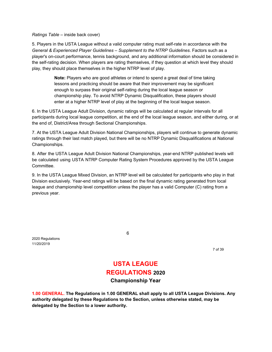*Ratings Table* – inside back cover)

5. Players in the USTA League without a valid computer rating must self-rate in accordance with the *General & Experienced Player Guidelines – Supplement to the NTRP Guidelines*. Factors such as a player's on-court performance, tennis background, and any additional information should be considered in the self-rating decision. When players are rating themselves, if they question at which level they should play, they should place themselves in the higher NTRP level of play.

> **Note:** Players who are good athletes or intend to spend a great deal of time taking lessons and practicing should be aware that their improvement may be significant enough to surpass their original self-rating during the local league season or championship play. To avoid NTRP Dynamic Disqualification, these players should enter at a higher NTRP level of play at the beginning of the local league season.

6. In the USTA League Adult Division, dynamic ratings will be calculated at regular intervals for all participants during local league competition, at the end of the local league season, and either during, or at the end of, District/Area through Sectional Championships.

7. At the USTA League Adult Division National Championships, players will continue to generate dynamic ratings through their last match played, but there will be no NTRP Dynamic Disqualifications at National Championships.

8. After the USTA League Adult Division National Championships, year-end NTRP published levels will be calculated using USTA NTRP Computer Rating System Procedures approved by the USTA League Committee.

9. In the USTA League Mixed Division, an NTRP level will be calculated for participants who play in that Division exclusively. Year-end ratings will be based on the final dynamic rating generated from local league and championship level competition unless the player has a valid Computer (C) rating from a previous year.

6

2020 Regulations 11/20/2019

7 of 39

# **USTA LEAGUE REGULATIONS 2020 Championship Year**

**1.00 GENERAL. The Regulations in 1.00 GENERAL shall apply to all USTA League Divisions. Any authority delegated by these Regulations to the Section, unless otherwise stated, may be delegated by the Section to a lower authority.**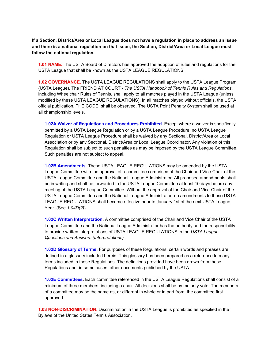If a Section, District/Area or Local League does not have a regulation in place to address an issue **and there is a national regulation on that issue, the Section, District/Area or Local League must follow the national regulation.**

**1.01 NAME.** The USTA Board of Directors has approved the adoption of rules and regulations for the USTA League that shall be known as the USTA LEAGUE REGULATIONS.

**1.02 GOVERNANCE.** The USTA LEAGUE REGULATIONS shall apply to the USTA League Program (USTA League). The FRIEND AT COURT *- The USTA Handbook of Tennis Rules and Regulations*, including Wheelchair Rules of Tennis, shall apply to all matches played in the USTA League (unless modified by these USTA LEAGUE REGULATIONS). In all matches played without officials, the USTA official publication, THE CODE*,* shall be observed. The USTA Point Penalty System shall be used at all championship levels.

**1.02A Waiver of Regulations and Procedures Prohibited.** Except where a waiver is specifically permitted by a USTA League Regulation or by a USTA League Procedure, no USTA League Regulation or USTA League Procedure shall be waived by any Sectional, District/Area or Local Association or by any Sectional, District/Area or Local League Coordinator**.** Any violation of this Regulation shall be subject to such penalties as may be imposed by the USTA League Committee. Such penalties are not subject to appeal.

**1.02B Amendments.** These USTA LEAGUE REGULATIONS may be amended by the USTA League Committee with the approval of a committee comprised of the Chair and Vice-Chair of the USTA League Committee and the National League Administrator. All proposed amendments shall be in writing and shall be forwarded to the USTA League Committee at least 10 days before any meeting of the USTA League Committee. Without the approval of the Chair and Vice-Chair of the USTA League Committee and the National League Administrator, no amendments to these USTA LEAGUE REGULATIONS shall become effective prior to January 1st of the next USTA League Year. (See *1.04D(2)*).

**1.02C Written Interpretation.** A committee comprised of the Chair and Vice Chair of the USTA League Committee and the National League Administrator has the authority and the responsibility to provide written interpretations of USTA LEAGUE REGULATIONS in the *USTA League Questions and Answers (Interpretations)*.

**1.02D Glossary of Terms.** For purposes of these Regulations, certain words and phrases are defined in a glossary included herein. This glossary has been prepared as a reference to many terms included in these Regulations. The definitions provided have been drawn from these Regulations and, in some cases, other documents published by the USTA.

**1.02E Committees.** Each committee referenced in the USTA League Regulations shall consist of a minimum of three members, including a chair. All decisions shall be by majority vote. The members of a committee may be the same as, or different in whole or in part from, the committee first approved.

**1.03 NON-DISCRIMINATION.** Discrimination in the USTA League is prohibited as specified in the Bylaws of the United States Tennis Association.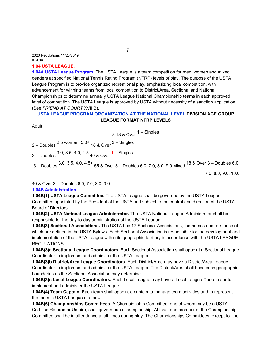2020 Regulations 11/20/2019 8 of 39

#### **1.04 USTA LEAGUE.**

**1.04A USTA League Program.** The USTA League is a team competition for men, women and mixed genders at specified National Tennis Rating Program (NTRP) levels of play. The purpose of the USTA League Program is to provide organized recreational play, emphasizing local competition, with advancement for winning teams from local competition to District/Area, Sectional and National Championships to determine annually USTA League National Championship teams in each approved level of competition. The USTA League is approved by USTA without necessity of a sanction application (See *FRIEND AT COURT* XVII B).

#### **USTA LEAGUE PROGRAM ORGANIZATION AT THE NATIONAL LEVEL DIVISION AGE GROUP LEAGUE FORMAT NTRP LEVELS**

Adult

8 18 & Over <sup>1</sup> – Singles

2 – Doubles 2.5 women, 5.0+ 18 & Over 2 – Singles

3 – Doubles <sup>3.0, 3.5, 4.0, 4.5</sup> <sub>40 &</sub> Over <sup>1 –</sup> Singles

3 – Doubles 3.0, 3.5, 4.0, 4.5+ 55 & Over 3 – Doubles 6.0, 7.0, 8.0, 9.0 Mixed 18 & Over 3 – Doubles 6.0,

7.0, 8.0, 9.0, 10.0

40 & Over 3 – Doubles 6.0, 7.0, 8.0, 9.0

#### **1.04B Administration.**

**1.04B(1) USTA League Committee.** The USTA League shall be governed by the USTA League Committee appointed by the President of the USTA and subject to the control and direction of the USTA Board of Directors.

**1.04B(2) USTA National League Administrator.** The USTA National League Administrator shall be responsible for the day-to-day administration of the USTA League.

**1.04B(3) Sectional Associations.** The USTA has 17 Sectional Associations, the names and territories of which are defined in the USTA Bylaws. Each Sectional Association is responsible for the development and implementation of the USTA League within its geographic territory in accordance with the USTA LEAGUE REGULATIONS.

**1.04B(3)a Sectional League Coordinators.** Each Sectional Association shall appoint a Sectional League Coordinator to implement and administer the USTA League.

**1.04B(3)b District/Area League Coordinators.** Each District/Area may have a District/Area League Coordinator to implement and administer the USTA League. The District/Area shall have such geographic boundaries as the Sectional Association may determine.

**1.04B(3)c Local League Coordinators.** Each Local League may have a Local League Coordinator to implement and administer the USTA League.

**1.04B(4) Team Captain.** Each team shall appoint a captain to manage team activities and to represent the team in USTA League matters**.**

**1.04B(5) Championships Committees.** A Championship Committee, one of whom may be a USTA Certified Referee or Umpire, shall govern each championship. At least one member of the Championship Committee shall be in attendance at all times during play. The Championships Committees, except for the

7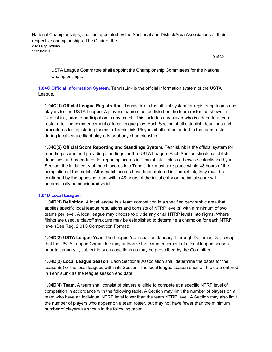National Championships, shall be appointed by the Sectional and District/Area Associations at their respective championships. The Chair of the 2020 Regulations 11/20/2019

9 of 39

USTA League Committee shall appoint the Championship Committees for the National Championships.

**1.04C Official Information System.** TennisLink is the official information system of the USTA League.

**1.04C(1) Official League Registration.** TennisLink is the official system for registering teams and players for the USTA League. A player's name must be listed on the team roster, as shown in TennisLink, prior to participation in any match. This includes any player who is added to a team roster after the commencement of local league play. Each Section shall establish deadlines and procedures for registering teams in TennisLink. Players shall not be added to the team roster during local league flight play-offs or at any championship.

**1.04C(2) Official Score Reporting and Standings System.** TennisLink is the official system for reporting scores and providing standings for the USTA League. Each Section should establish deadlines and procedures for reporting scores in TennisLink. Unless otherwise established by a Section, the initial entry of match scores into TennisLink must take place within 48 hours of the completion of the match. After match scores have been entered in TennisLink, they must be confirmed by the opposing team within 48 hours of the initial entry or the initial score will automatically be considered valid.

#### **1.04D Local League.**

**1.04D(1) Definition**. A local league is a team competition in a specified geographic area that applies specific local league regulations and consists of NTRP level(s) with a minimum of two teams per level. A local league may choose to divide any or all NTRP levels into flights. Where flights are used, a playoff structure may be established to determine a champion for each NTRP level (See Reg. 2.01C Competition Format).

**1.04D(2) USTA League Year**. The League Year shall be January 1 through December 31, except that the USTA League Committee may authorize the commencement of a local league season prior to January 1, subject to such conditions as may be prescribed by the Committee.

**1.04D(3) Local League Season**. Each Sectional Association shall determine the dates for the season(s) of the local leagues within its Section. The local league season ends on the date entered in TennisLink as the league season end date.

**1.04D(4) Team.** A team shall consist of players eligible to compete at a specific NTRP level of competition in accordance with the following table. A Section may limit the number of players on a team who have an individual NTRP level lower than the team NTRP level. A Section may also limit the number of players who appear on a team roster, but may not have fewer than the minimum number of players as shown in the following table: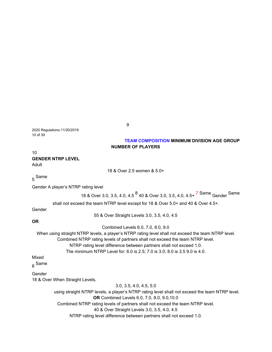2020 Regulations 11/20/2019 10 of 39

9

# **TEAM COMPOSITION MINIMUM DIVISION AGE GROUP NUMBER OF PLAYERS**

#### 10 **GENDER NTRP LEVEL** Adult

18 & Over 2.5 women & 5.0+

5 Same

Gender A player's NTRP rating level

18 & Over 3.0, 3.5, 4.0, 4.5<sup>8</sup> 40 & Over 3.0, 3.5, 4.0, 4.5+<sup>7</sup> Same Gender Same

shall not exceed the team NTRP level except for 18 & Over 5.0+ and 40 & Over 4.5+.

Gender

55 & Over Straight Levels 3.0, 3.5, 4.0, 4.5

## **OR**

Combined Levels 6.0, 7.0, 8.0, 9.0

When using straight NTRP levels, a player's NTRP rating level shall not exceed the team NTRP level. Combined NTRP rating levels of partners shall not exceed the team NTRP level. NTRP rating level difference between partners shall not exceed 1.0.

The minimum NTRP Level for: 6.0 is 2.5; 7.0 is 3.0; 8.0 is 3.5 9.0 is 4.0.

Mixed

6 Same

Gender

18 & Over When Straight Levels,

3.0, 3.5, 4.0, 4.5, 5.0

using straight NTRP levels, a player's NTRP rating level shall not exceed the team NTRP level. **OR** Combined Levels 6.0, 7.0, 8.0, 9.0,10.0 Combined NTRP rating levels of partners shall not exceed the team NTRP level. 40 & Over Straight Levels 3.0, 3.5, 4.0, 4.5

NTRP rating level difference between partners shall not exceed 1.0.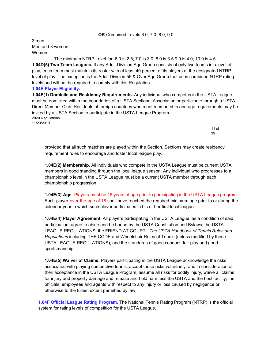#### **OR** Combined Levels 6.0, 7.0, 8.0, 9.0

3 men Men and 3 women Women

The minimum NTRP Level for: 6.0 is 2.5; 7.0 is 3.0; 8.0 is 3.5 9.0 is 4.0; 10.0 is 4.5. **1.04D(5) Two Team Leagues.** If any Adult Division Age Group consists of only two teams in a level of play, each team must maintain its roster with at least 40 percent of its players at the designated NTRP level of play. The exception is the Adult Division 55 & Over Age Group that uses combined NTRP rating levels and will not be required to comply with this Regulation.

#### **1.04E Player Eligibility.**

**1.04E(1) Domicile and Residency Requirements.** Any individual who competes in the USTA League must be domiciled within the boundaries of a USTA Sectional Association or participate through a USTA Direct Member Club. Residents of foreign countries who meet membership and age requirements may be invited by a USTA Section to participate in the USTA League Program 2020 Regulations 11/20/2019

> 11 of 39

provided that all such matches are played within the Section. Sections may create residency requirement rules to encourage and foster local league play.

**1.04E(2) Membership.** All individuals who compete in the USTA League must be current USTA members in good standing through the local league season. Any individual who progresses to a championship level in the USTA League must be a current USTA member through each championship progression.

**1.04E(3) Age.** Players must be 18 years of age prior to participating in the USTA League program. Each player over the age of 18 shall have reached the required minimum age prior to or during the calendar year in which such player participates in his or her first local league.

**1.04E(4) Player Agreement.** All players participating in the USTA League, as a condition of said participation, agree to abide and be bound by the USTA Constitution and Bylaws; the USTA LEAGUE REGULATIONS; the FRIEND AT COURT - *The USTA Handbook of Tennis Rules and Regulations* including THE CODE and Wheelchair Rules of Tennis (unless modified by these USTA LEAGUE REGULATIONS); and the standards of good conduct, fair play and good sportsmanship.

**1.04E(5) Waiver of Claims.** Players participating in the USTA League acknowledge the risks associated with playing competitive tennis, accept those risks voluntarily, and in consideration of their acceptance in the USTA League Program, assume all risks for bodily injury, waive all claims for injury and property damage and release and hold harmless the USTA and the host facility, their officials, employees and agents with respect to any injury or loss caused by negligence or otherwise to the fullest extent permitted by law.

**1.04F Official League Rating Program.** The National Tennis Rating Program (NTRP) is the official system for rating levels of competition for the USTA League.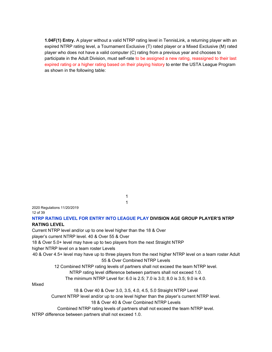**1.04F(1) Entry.** A player without a valid NTRP rating level in TennisLink, a returning player with an expired NTRP rating level, a Tournament Exclusive (T) rated player or a Mixed Exclusive (M) rated player who does not have a valid computer (C) rating from a previous year and chooses to participate in the Adult Division, must self-rate to be assigned a new rating, reassigned to their last expired rating or a higher rating based on their playing history to enter the USTA League Program as shown in the following table:

> 1 1

2020 Regulations 11/20/2019 12 of 39

**NTRP RATING LEVEL FOR ENTRY INTO LEAGUE PLAY DIVISION AGE GROUP PLAYER'S NTRP RATING LEVEL**

Current NTRP level and/or up to one level higher than the 18 & Over player's current NTRP level. 40 & Over 55 & Over 18 & Over 5.0+ level may have up to two players from the next Straight NTRP higher NTRP level on a team roster Levels 40 & Over 4.5+ level may have up to three players from the next higher NTRP level on a team roster Adult 55 & Over Combined NTRP Levels 12 Combined NTRP rating levels of partners shall not exceed the team NTRP level. NTRP rating level difference between partners shall not exceed 1.0. The minimum NTRP Level for: 6.0 is 2.5; 7.0 is 3.0; 8.0 is 3.5; 9.0 is 4.0. Mixed 18 & Over 40 & Over 3.0, 3.5, 4.0, 4.5, 5.0 Straight NTRP Level Current NTRP level and/or up to one level higher than the player's current NTRP level. 18 & Over 40 & Over Combined NTRP Levels

Combined NTRP rating levels of partners shall not exceed the team NTRP level.

NTRP difference between partners shall not exceed 1.0.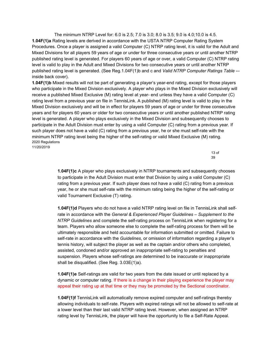The minimum NTRP Level for: 6.0 is 2.5; 7.0 is 3.0; 8.0 is 3.5; 9.0 is 4.0;10.0 is 4.5. **1.04F(1)a** Rating levels are derived in accordance with the USTA NTRP Computer Rating System Procedures. Once a player is assigned a valid Computer (C) NTRP rating level, it is valid for the Adult and Mixed Divisions for all players 59 years of age or under for three consecutive years or until another NTRP published rating level is generated. For players 60 years of age or over, a valid Computer (C) NTRP rating level is valid to play in the Adult and Mixed Divisions for two consecutive years or until another NTRP published rating level is generated. (See Reg.1.04F(1)b and c and *Valid NTRP Computer Ratings Table* -– inside back cover).

**1.04F(1)b** Mixed results will not be part of generating a player's year-end rating, except for those players who participate in the Mixed Division exclusively. A player who plays in the Mixed Division exclusively will receive a published Mixed Exclusive (M) rating level at year- end unless they have a valid Computer (C) rating level from a previous year on file in TennisLink. A published (M) rating level is valid to play in the Mixed Division exclusively and will be in effect for players 59 years of age or under for three consecutive years and for players 60 years or older for two consecutive years or until another published NTRP rating level is generated. A player who plays exclusively in the Mixed Division and subsequently chooses to participate in the Adult Division must enter by using a valid Computer (C) rating from a previous year. If such player does not have a valid (C) rating from a previous year, he or she must self-rate with the minimum NTRP rating level being the higher of the self-rating or valid Mixed Exclusive (M) rating. 2020 Regulations 11/20/2019

> 13 of 39

**1.04F(1)c** A player who plays exclusively in NTRP tournaments and subsequently chooses to participate in the Adult Division must enter that Division by using a valid Computer (C) rating from a previous year. If such player does not have a valid (C) rating from a previous year, he or she must self-rate with the minimum rating being the higher of the self-rating or valid Tournament Exclusive (T) rating.

**1.04F(1)d** Players who do not have a valid NTRP rating level on file in TennisLink shall selfrate in accordance with the *General & Experienced Player Guidelines – Supplement to the NTRP Guidelines* and complete the self-rating process on TennisLink when registering for a team. Players who allow someone else to complete the self-rating process for them will be ultimately responsible and held accountable for information submitted or omitted. Failure to self-rate in accordance with the *Guidelines*, or omission of information regarding a player's tennis history, will subject the player as well as the captain and/or others who completed, assisted, condoned and/or approved an inappropriate self-rating to penalties and suspension. Players whose self-ratings are determined to be inaccurate or inappropriate shall be disqualified. (See Reg. 3.03E(1)a).

**1.04F(1)e** Self-ratings are valid for two years from the date issued or until replaced by a dynamic or computer rating. If there is a change in their playing experience the player may appeal their rating up at that time or they may be promoted by the Sectional coordinator.

**1.04F(1)f** TennisLink will automatically remove expired computer and self-ratings thereby allowing individuals to self-rate. Players with expired ratings will not be allowed to self-rate at a lower level than their last valid NTRP rating level. However, when assigned an NTRP rating level by TennisLink, the player will have the opportunity to file a Self-Rate Appeal.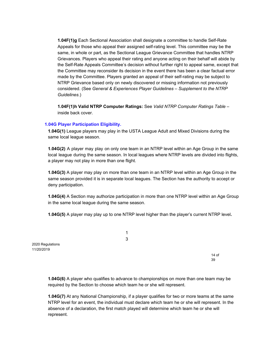**1.04F(1)g** Each Sectional Association shall designate a committee to handle Self-Rate Appeals for those who appeal their assigned self-rating level. This committee may be the same, in whole or part, as the Sectional League Grievance Committee that handles NTRP Grievances. Players who appeal their rating and anyone acting on their behalf will abide by the Self-Rate Appeals Committee's decision without further right to appeal same, except that the Committee may reconsider its decision in the event there has been a clear factual error made by the Committee. Players granted an appeal of their self-rating may be subject to NTRP Grievance based only on newly discovered or missing information not previously considered. (See *General & Experiences Player Guidelines – Supplement to the NTRP Guidelines*.)

**1.04F(1)h Valid NTRP Computer Ratings:** See *Valid NTRP Computer Ratings Table* – inside back cover.

#### **1.04G Player Participation Eligibility.**

**1.04G(1)** League players may play in the USTA League Adult and Mixed Divisions during the same local league season.

**1.04G(2)** A player may play on only one team in an NTRP level within an Age Group in the same local league during the same season. In local leagues where NTRP levels are divided into flights, a player may not play in more than one flight.

**1.04G(3)** A player may play on more than one team in an NTRP level within an Age Group in the same season provided it is in separate local leagues. The Section has the authority to accept or deny participation.

**1.04G(4)** A Section may authorize participation in more than one NTRP level within an Age Group in the same local league during the same season.

**1.04G(5)** A player may play up to one NTRP level higher than the player's current NTRP level**.**

1 3

2020 Regulations 11/20/2019

> 14 of 39

**1.04G(6)** A player who qualifies to advance to championships on more than one team may be required by the Section to choose which team he or she will represent.

**1.04G(7)** At any National Championship, if a player qualifies for two or more teams at the same NTRP level for an event, the individual must declare which team he or she will represent. In the absence of a declaration, the first match played will determine which team he or she will represent.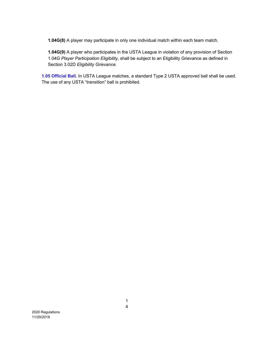**1.04G(8)** A player may participate in only one individual match within each team match.

**1.04G(9)** A player who participates in the USTA League in violation of any provision of Section 1.04G *Player Participation Eligibility*, shall be subject to an Eligibility Grievance as defined in Section 3.02D *Eligibility Grievance*.

**1.05 Official Ball.** In USTA League matches, a standard Type 2 USTA approved ball shall be used. The use of any USTA "transition" ball is prohibited.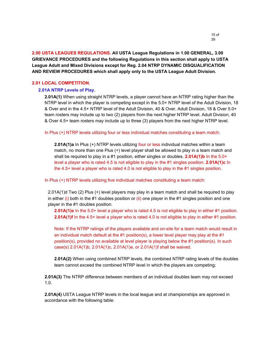**2.00 USTA LEAGUES REGULATIONS. All USTA League Regulations in 1.00 GENERAL, 3.00 GRIEVANCE PROCEDURES and the following Regulations in this section shall apply to USTA League Adult and Mixed Divisions except for Reg. 2.04 NTRP DYNAMIC DISQUALIFICATION AND REVIEW PROCEDURES which shall apply only to the USTA League Adult Division.**

## **2.01 LOCAL COMPETITION.**

## **2.01A NTRP Levels of Play.**

**2.01A(1)** When using straight NTRP levels, a player cannot have an NTRP rating higher than the NTRP level in which the player is competing except in the 5.0+ NTRP level of the Adult Division, 18 & Over and in the 4.5+ NTRP level of the Adult Division, 40 & Over. Adult Division, 18 & Over 5.0+ team rosters may include up to two (2) players from the next higher NTRP level. Adult Division, 40 & Over 4.5+ team rosters may include up to three (3) players from the next higher NTRP level.

In Plus (+) NTRP levels utilizing four or less individual matches constituting a team match:

**2.01A(1)a** In Plus (+) NTRP levels utilizing four or less individual matches within a team match, no more than one Plus (+) level player shall be allowed to play in a team match and shall be required to play in a #1 position, either singles or doubles. **2.01A(1)b** In the 5.0+ level a player who is rated 4.5 is not eligible to play in the #1 singles position. **2.01A(1)c** In the 4.5+ level a player who is rated 4.0 is not eligible to play in the #1 singles position.

In Plus (+) NTRP levels utilizing five individual matches constituting a team match:

2.01A(1)d Two (2) Plus (+) level players may play in a team match and shall be required to play in either (i) both in the #1 doubles position or (ii) one player in the #1 singles position and one player in the #1 doubles position.

**2.01A(1)e** In the 5.0+ level a player who is rated 4.5 is not eligible to play in either #1 position. **2.01A(1)f** In the 4.5+ level a player who is rated 4.0 is not eligible to play in either #1 position.

Note: If the NTRP ratings of the players available and on-site for a team match would result in an individual match default at the  $#1$  position(s), a lower level player may play at the  $#1$ position(s), provided no available at level player is playing below the #1 position(s). In such case(s) 2.01A(1)b, 2.01A(1)c, 2.01A(1)e, or 2.01A(1)f shall be waived.

**2.01A(2)** When using combined NTRP levels, the combined NTRP rating levels of the doubles team cannot exceed the combined NTRP level in which the players are competing;

**2.01A(3)** The NTRP difference between members of an individual doubles team may not exceed 1.0.

**2.01A(4)** USTA League NTRP levels in the local league and at championships are approved in accordance with the following table: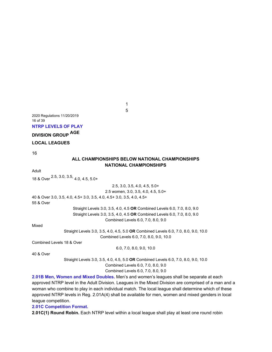2020 Regulations 11/20/2019 16 of 39

**NTRP LEVELS OF PLAY**

**DIVISION GROUP AGE**

#### **LOCAL LEAGUES**

16

# **ALL CHAMPIONSHIPS BELOW NATIONAL CHAMPIONSHIPS NATIONAL CHAMPIONSHIPS**

Adult

2.5, 3.0, 3.5, 4.0, 4.5, 5.0+

1 5

18 & Over 2.5, 3.0, 3.5, 4.0, 4.5, 5.0+ 2.5 women, 3.0, 3.5, 4.0, 4.5, 5.0+

40 & Over 3.0, 3.5, 4.0, 4.5+ 3.0, 3.5, 4.0, 4.5+ 3.0, 3.5, 4.0, 4.5+

Straight Levels 3.0, 3.5, 4.0, 4.5 **OR** Combined Levels 6.0, 7.0, 8.0, 9.0 Straight Levels 3.0, 3.5, 4.0, 4.5 **OR** Combined Levels 6.0, 7.0, 8.0, 9.0 Combined Levels 6.0, 7.0, 8.0, 9.0

Mixed

55 & Over

Straight Levels 3.0, 3.5, 4.0, 4.5, 5.0 **OR** Combined Levels 6.0, 7.0, 8.0, 9.0, 10.0 Combined Levels 6.0, 7.0, 8.0, 9.0, 10.0

Combined Levels 18 & Over

6.0, 7.0, 8.0, 9.0, 10.0

40 & Over

Straight Levels 3.0, 3.5, 4.0, 4.5, 5.0 **OR** Combined Levels 6.0, 7.0, 8.0, 9.0, 10.0 Combined Levels 6.0, 7.0, 8.0, 9.0 Combined Levels 6.0, 7.0, 8.0, 9.0

**2.01B Men, Women and Mixed Doubles.** Men's and women's leagues shall be separate at each approved NTRP level in the Adult Division. Leagues in the Mixed Division are comprised of a man and a woman who combine to play in each individual match. The local league shall determine which of these approved NTRP levels in Reg. 2.01A(4) shall be available for men, women and mixed genders in local league competition.

#### **2.01C Competition Format.**

**2.01C(1) Round Robin.** Each NTRP level within a local league shall play at least one round robin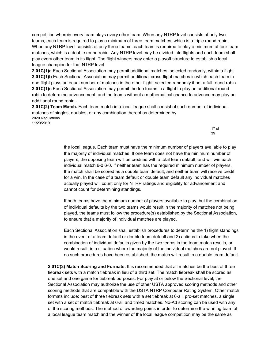competition wherein every team plays every other team. When any NTRP level consists of only two teams, each team is required to play a minimum of three team matches, which is a triple round robin. When any NTRP level consists of only three teams, each team is required to play a minimum of four team matches, which is a double round robin. Any NTRP level may be divided into flights and each team shall play every other team in its flight. The flight winners may enter a playoff structure to establish a local league champion for that NTRP level.

**2.01C(1)a** Each Sectional Association may permit additional matches, selected randomly, within a flight. **2.01C(1)b** Each Sectional Association may permit additional cross-flight matches in which each team in one flight plays an equal number of matches in the other flight, selected randomly if not a full round robin. **2.01C(1)c** Each Sectional Association may permit the top teams in a flight to play an additional round robin to determine advancement, and the teams without a mathematical chance to advance may play an additional round robin.

**2.01C(2) Team Match.** Each team match in a local league shall consist of such number of individual matches of singles, doubles, or any combination thereof as determined by 2020 Regulations 11/20/2019

> 17 of 39

the local league. Each team must have the minimum number of players available to play the majority of individual matches. If one team does not have the minimum number of players, the opposing team will be credited with a total team default, and will win each individual match 6-0 6-0. If neither team has the required minimum number of players, the match shall be scored as a double team default, and neither team will receive credit for a win. In the case of a team default or double team default any individual matches actually played will count only for NTRP ratings and eligibility for advancement and cannot count for determining standings.

If both teams have the minimum number of players available to play, but the combination of individual defaults by the two teams would result in the majority of matches not being played, the teams must follow the procedure(s) established by the Sectional Association, to ensure that a majority of individual matches are played.

Each Sectional Association shall establish procedures to determine the 1) flight standings in the event of a team default or double team default and 2) actions to take when the combination of individual defaults given by the two teams in the team match results, or would result, in a situation where the majority of the individual matches are not played. If no such procedures have been established, the match will result in a double team default.

**2.01C(3) Match Scoring and Formats.** It is recommended that all matches be the best of three tiebreak sets with a match tiebreak in lieu of a third set. The match tiebreak shall be scored as one set and one game for tiebreak purposes. For play at or below the Sectional level, the Sectional Association may authorize the use of other USTA approved scoring methods and other scoring methods that are compatible with the USTA NTRP Computer Rating System. Other match formats include: best of three tiebreak sets with a set tiebreak at 6-all, pro-set matches, a single set with a set or match tiebreak at 6-all and timed matches. No-Ad scoring can be used with any of the scoring methods. The method of awarding points in order to determine the winning team of a local league team match and the winner of the local league competition may be the same as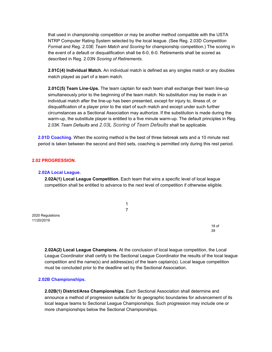that used in championship competition or may be another method compatible with the USTA NTRP Computer Rating System selected by the local league. (See Reg. 2.03D *Competition Format* and Reg. 2.03E *Team Match and Scoring* for championship competition.) The scoring in the event of a default or disqualification shall be 6-0, 6-0. Retirements shall be scored as described in Reg. 2.03N *Scoring of Retirements*.

**2.01C(4) Individual Match.** An individual match is defined as any singles match or any doubles match played as part of a team match.

**2.01C(5) Team Line-Ups.** The team captain for each team shall exchange their team line-up simultaneously prior to the beginning of the team match. No substitution may be made in an individual match after the line-up has been presented, except for injury to, illness of, or disqualification of a player prior to the start of such match and except under such further circumstances as a Sectional Association may authorize. If the substitution is made during the warm-up, the substitute player is entitled to a five minute warm-up. The default principles in Reg. 2.03K *Team Defaults* and *2.03L Scoring of Team Defaults* shall be applicable.

**2.01D Coaching.** When the scoring method is the best of three tiebreak sets and a 10 minute rest period is taken between the second and third sets, coaching is permitted only during this rest period.

#### **2.02 PROGRESSION.**

#### **2.02A Local League.**

**2.02A(1) Local League Competition.** Each team that wins a specific level of local league competition shall be entitled to advance to the next level of competition if otherwise eligible.

> 1 7

2020 Regulations 11/20/2019

> 18 of 39

**2.02A(2) Local League Champions.** At the conclusion of local league competition, the Local League Coordinator shall certify to the Sectional League Coordinator the results of the local league competition and the name(s) and address(es) of the team captain(s). Local league competition must be concluded prior to the deadline set by the Sectional Association.

#### **2.02B Championships.**

**2.02B(1) District/Area Championships.** Each Sectional Association shall determine and announce a method of progression suitable for its geographic boundaries for advancement of its local league teams to Sectional League Championships. Such progression may include one or more championships below the Sectional Championships.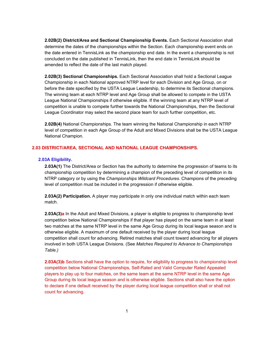**2.02B(2) District/Area and Sectional Championship Events.** Each Sectional Association shall determine the dates of the championships within the Section. Each championship event ends on the date entered in TennisLink as the championship end date. In the event a championship is not concluded on the date published in TennisLink, then the end date in TennisLink should be amended to reflect the date of the last match played.

**2.02B(3) Sectional Championships.** Each Sectional Association shall hold a Sectional League Championship in each National approved NTRP level for each Division and Age Group, on or before the date specified by the USTA League Leadership, to determine its Sectional champions. The winning team at each NTRP level and Age Group shall be allowed to compete in the USTA League National Championships if otherwise eligible. If the winning team at any NTRP level of competition is unable to compete further towards the National Championships, then the Sectional League Coordinator may select the second place team for such further competition, etc.

**2.02B(4)** National Championships. The team winning the National Championship in each NTRP level of competition in each Age Group of the Adult and Mixed Divisions shall be the USTA League National Champion.

#### **2.03 DISTRICT/AREA, SECTIONAL AND NATIONAL LEAGUE CHAMPIONSHIPS.**

#### **2.03A Eligibility.**

**2.03A(1)** The District/Area or Section has the authority to determine the progression of teams to its championship competition by determining a champion of the preceding level of competition in its NTRP category or by using the *Championships Wildcard Procedures*. Champions of the preceding level of competition must be included in the progression if otherwise eligible.

**2.03A(2) Participation.** A player may participate in only one individual match within each team match.

**2.03A(3)a** In the Adult and Mixed Divisions, a player is eligible to progress to championship level competition below National Championships if that player has played on the same team in at least two matches at the same NTRP level in the same Age Group during its local league season and is otherwise eligible. A maximum of one default received by the player during local league competition shall count for advancing. Retired matches shall count toward advancing for all players involved in both USTA League Divisions. (See *Matches Required to Advance to Championships Table.)*

**2.03A(3)b** Sections shall have the option to require, for eligibility to progress to championship level competition below National Championships, Self-Rated and Valid Computer Rated Appealed players to play up to four matches, on the same team at the same NTRP level in the same Age Group during its local league season and is otherwise eligible. Sections shall also have the option to declare if one default received by the player during local league competition shall or shall not count for advancing.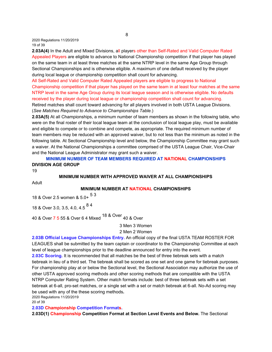2020 Regulations 11/20/2019 19 of 39

**2.03A(4)** In the Adult and Mixed Divisions, all players other than Self-Rated and Valid Computer Rated Appealed Players are eligible to advance to National Championship competition if that player has played on the same team in at least three matches at the same NTRP level in the same Age Group through Sectional Championships and is otherwise eligible. A maximum of one default received by the player during local league or championship competition shall count for advancing.

All Self-Rated and Valid Computer Rated Appealed players are eligible to progress to National Championship competition if that player has played on the same team in at least four matches at the same NTRP level in the same Age Group during its local league season and is otherwise eligible. No defaults received by the player during local league or championship competition shall count for advancing. Retired matches shall count toward advancing for all players involved in both USTA League Divisions. (*See Matches Required to Advance to Championships Table.*)

**2.03A(5)** At all Championships, a minimum number of team members as shown in the following table, who were on the final roster of their local league team at the conclusion of local league play, must be available and eligible to compete or to combine and compete, as appropriate. The required minimum number of team members may be reduced with an approved waiver, but to not less than the minimum as noted in the following table. At Sectional Championship level and below, the Championship Committee may grant such a waiver. At the National Championships a committee comprised of the USTA League Chair, Vice-Chair and the National League Administrator may grant such a waiver.

# **MINIMUM NUMBER OF TEAM MEMBERS REQUIRED AT NATIONAL CHAMPIONSHIPS DIVISION AGE GROUP**

19

# **MINIMUM NUMBER WITH APPROVED WAIVER AT ALL CHAMPIONSHIPS**

Adult

# **MINIMUM NUMBER AT NATIONAL CHAMPIONSHIPS**

18 & Over 2.5 women & 5.0+ <sup>5 3</sup>

18 & Over 3.0, 3.5, 4.0, 4.5 <sup>8 4</sup>

40 & Over 7 5 55 & Over 6 4 Mixed <sup>18 & Over</sup> 40 & Over

3 Men 3 Women

2 Men 2 Women

**2.03B Official League Championships Entry.** An official copy of the final USTA TEAM ROSTER FOR LEAGUES shall be submitted by the team captain or coordinator to the Championship Committee at each level of league championships prior to the deadline announced for entry into the event.

**2.03C Scoring.** It is recommended that all matches be the best of three tiebreak sets with a match tiebreak in lieu of a third set. The tiebreak shall be scored as one set and one game for tiebreak purposes. For championship play at or below the Sectional level, the Sectional Association may authorize the use of other USTA approved scoring methods and other scoring methods that are compatible with the USTA NTRP Computer Rating System. Other match formats include: best of three tiebreak sets with a set tiebreak at 6-all, pro-set matches, or a single set with a set or match tiebreak at 6-all. No-Ad scoring may be used with any of the these scoring methods**.**

2020 Regulations 11/20/2019

20 of 39

**2.03D Championship Competition Formats.**

**2.03D(1) Championship Competition Format at Section Level Events and Below.** The Sectional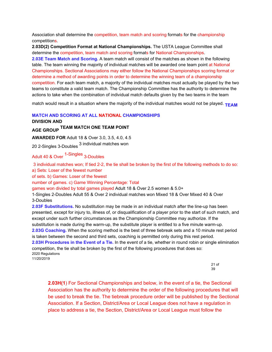Association shall determine the competition, team match and scoring formats for the championship competitions.

**2.03D(2) Competition Format at National Championships.** The USTA League Committee shall determine the competition, team match and scoring formats for National Championships.

**2.03E Team Match and Scoring.** A team match will consist of the matches as shown in the following table. The team winning the majority of individual matches will be awarded one team point at National Championships. Sectional Associations may either follow the National Championships scoring format or determine a method of awarding points in order to determine the winning team of a championship competition. For each team match, a majority of the individual matches must actually be played by the two teams to constitute a valid team match. The Championship Committee has the authority to determine the actions to take when the combination of individual match defaults given by the two teams in the team

match would result in a situation where the majority of the individual matches would not be played. TFAM

# **MATCH AND SCORING AT ALL NATIONAL CHAMPIONSHIPS**

#### **DIVISION AND**

**AGE GROUP TEAM MATCH ONE TEAM POINT**

**AWARDED FOR** Adult 18 & Over 3.0, 3.5, 4.0, 4.5

20 2-Singles 3-Doubles 3 individual matches won

Adult 40 & Over 1-Singles 3-Doubles

3 individual matches won; If tied 2-2, the tie shall be broken by the first of the following methods to do so:

a) Sets: Loser of the fewest number

of sets. b) Games: Loser of the fewest

number of games. c) Game Winning Percentage: Total

games won divided by total games played Adult 18 & Over 2.5 women & 5.0+

1-Singles 2-Doubles Adult 55 & Over 2 individual matches won Mixed 18 & Over Mixed 40 & Over 3-Doubles

**2.03F Substitutions.** No substitution may be made in an individual match after the line-up has been presented, except for injury to, illness of, or disqualification of a player prior to the start of such match, and except under such further circumstances as the Championship Committee may authorize. If the substitution is made during the warm-up, the substitute player is entitled to a five minute warm-up. **2.03G Coaching.** When the scoring method is the best of three tiebreak sets and a 10 minute rest period is taken between the second and third sets, coaching is permitted only during this rest period. **2.03H Procedures in the Event of a Tie.** In the event of a tie, whether in round robin or single elimination competition, the tie shall be broken by the first of the following procedures that does so: 2020 Regulations

11/20/2019

21 of 39

**2.03H(1**) For Sectional Championships and below, in the event of a tie, the Sectional Association has the authority to determine the order of the following procedures that will be used to break the tie. The tiebreak procedure order will be published by the Sectional Association. If a Section, District/Area or Local League does not have a regulation in place to address a tie, the Section, District/Area or Local League must follow the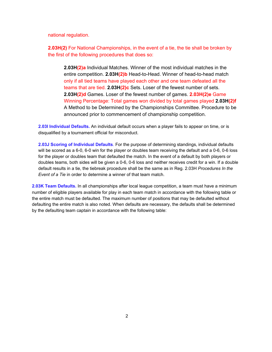national regulation.

**2.03H(2)** For National Championships, in the event of a tie, the tie shall be broken by the first of the following procedures that does so:

**2.03H(2)a** Individual Matches. Winner of the most individual matches in the entire competition. **2.03H(2)b** Head-to-Head. Winner of head-to-head match only if all tied teams have played each other and one team defeated all the teams that are tied. **2.03H(2)c** Sets. Loser of the fewest number of sets. **2.03H(2)d** Games. Loser of the fewest number of games. **2.03H(2)e** Game Winning Percentage: Total games won divided by total games played **2.03H(2)f** A Method to be Determined by the Championships Committee. Procedure to be announced prior to commencement of championship competition.

**2.03I Individual Defaults.** An individual default occurs when a player fails to appear on time, or is disqualified by a tournament official for misconduct.

**2.03J Scoring of Individual Defaults**. For the purpose of determining standings, individual defaults will be scored as a 6-0, 6-0 win for the player or doubles team receiving the default and a 0-6, 0-6 loss for the player or doubles team that defaulted the match. In the event of a default by both players or doubles teams, both sides will be given a 0-6, 0-6 loss and neither receives credit for a win. If a double default results in a tie, the tiebreak procedure shall be the same as in Reg. 2.03H *Procedures In the Event of a Tie* in order to determine a winner of that team match.

**2.03K Team Defaults.** In all championships after local league competition, a team must have a minimum number of eligible players available for play in each team match in accordance with the following table or the entire match must be defaulted. The maximum number of positions that may be defaulted without defaulting the entire match is also noted. When defaults are necessary, the defaults shall be determined by the defaulting team captain in accordance with the following table: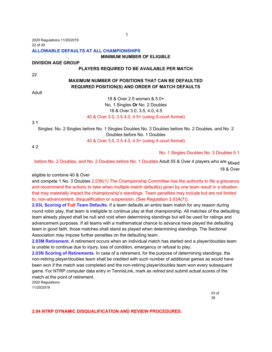2020 Regulations 11/20/2019 22 of 39

**ALLOWABLE DEFAULTS AT ALL CHAMPIONSHIPS**

**MINIMUM NUMBER OF ELIGIBLE**

#### **DIVISION AGE GROUP**

#### **PLAYERS REQUIRED TO BE AVAILABLE PER MATCH**

22

# **MAXIMUM NUMBER OF POSITIONS THAT CAN BE DEFAULTED REQUIRED POSITION(S) AND ORDER OF MATCH DEFAULTS**

Adult

 & Over 2.5 women & 5.0+ No. 1 Singles **Or** No. 2 Doubles & Over 3.0, 3.5, 4.0, 4.5 & Over 3.0, 3.5 4.0, 4.5+ (using 5-court format)

3 1

Singles: No. 2 Singles before No. 1 Singles Doubles No. 3 Doubles before No. 2 Doubles, and No. 2 Doubles before No. 1 Doubles 40 & Over 3.0, 3.5 4.0, 4.5+ (using 4-court format)

4 2

#### No. 1 Singles Doubles No. 3 Doubles 5 1

before No. 2 Doubles, and No. 2 Doubles before No. 1 Doubles Adult 55 & Over 4 players who are Mixed 18 & Over

#### eligible to combine 40 & Over

and compete 1 No. 3 Doubles 2.03K(1) The Championship Committee has the authority to file a grievance and recommend the actions to take when multiple match default(s) given by one team result in a situation that may materially impact the championship's standings. Team penalties may include but are not limited to, non-advancement, disqualification or suspension. (See Regulation 3.03A(7)).

**2.03L Scoring of Full Team Defaults.** If a team defaults an entire team match for any reason during round robin play, that team is ineligible to continue play at that championship. All matches of the defaulting team already played shall be null and void when determining standings but will be used for ratings and advancement purposes. If all teams with a mathematical chance to advance have played the defaulting team in good faith, those matches shall stand as played when determining standings. The Sectional Association may impose further penalties on the defaulting team.

**2.03M Retirement.** A retirement occurs when an individual match has started and a player/doubles team is unable to continue due to injury, loss of condition, emergency or refusal to play.

**2.03N Scoring of Retirements.** In case of a retirement, for the purpose of determining standings, the non-retiring player/doubles team shall be credited with such number of additional games as would have been won if the match was completed and the non-retiring player/doubles team won every subsequent game. For NTRP computer data entry in TennisLink, mark as *retired* and submit actual scores of the match at the point of retirement.

2020 Regulations 11/20/2019

> 23 of 39

#### **2.04 NTRP DYNAMIC DISQUALIFICATION AND REVIEW PROCEDURES.**

1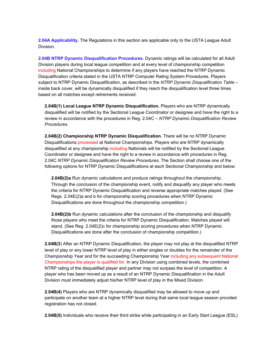**2.04A Applicability.** The Regulations in this section are applicable only to the USTA League Adult Division.

**2.04B NTRP Dynamic Disqualification Procedures.** Dynamic ratings will be calculated for all Adult Division players during local league competition and at every level of championship competition including National Championships to determine if any players have reached the NTRP Dynamic Disqualification criteria stated in the USTA NTRP Computer Rating System Procedures. Players subject to NTRP Dynamic Disqualification, as described in the *NTRP Dynamic Disqualification Table* – inside back cover, will be dynamically disqualified if they reach the disqualification level three times based on all matches except retirements received.

**2.04B(1) Local League NTRP Dynamic Disqualification.** Players who are NTRP dynamically disqualified will be notified by the Sectional League Coordinator or designee and have the right to a review in accordance with the procedures in Reg. 2.04C – *NTRP Dynamic Disqualification Review Procedures*.

**2.04B(2) Championship NTRP Dynamic Disqualification.** There will be no NTRP Dynamic Disqualifications processed at National Championships. Players who are NTRP dynamically disqualified at any championship including Nationals will be notified by the Sectional League Coordinator or designee and have the right to a review in accordance with procedures in Reg. 2.04C *NTRP Dynamic Disqualification Review Procedures*. The Section shall choose one of the following options for NTRP Dynamic Disqualifications at each Sectional Championship and below:

**2.04B(2)a** Run dynamic calculations and produce ratings throughout the championship. Through the conclusion of the championship event, notify and disqualify any player who meets the criteria for NTRP Dynamic Disqualification and reverse appropriate matches played. (See Regs. 2.04E(2)a and b for championship scoring procedures when NTRP Dynamic Disqualifications are done throughout the championship competition.)

**2.04B(2)b** Run dynamic calculations after the conclusion of the championship and disqualify those players who meet the criteria for NTRP Dynamic Disqualification. Matches played will stand. (See Reg. 2.04E(2)c for championship scoring procedures when NTRP Dynamic Disqualifications are done after the conclusion of championship competition.)

**2.04B(3**) After an NTRP Dynamic Disqualification, the player may not play at the disqualified NTRP level of play or any lower NTRP level of play in either singles or doubles for the remainder of the Championship Year and for the succeeding Championship Year including any subsequent National Championships the player is qualified for. In any Division using combined levels, the combined NTRP rating of the disqualified player and partner may not surpass the level of competition. A player who has been moved up as a result of an NTRP Dynamic Disqualification in the Adult Division must immediately adjust his/her NTRP level of play in the Mixed Division.

**2.04B(4)** Players who are NTRP dynamically disqualified may be allowed to move up and participate on another team at a higher NTRP level during that same local league season provided registration has not closed.

**2.04B(5)** Individuals who receive their third strike while participating in an Early Start League (ESL)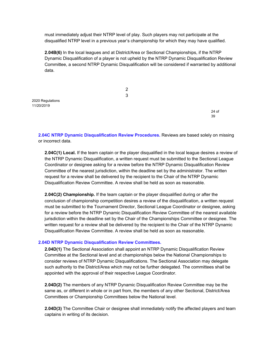must immediately adjust their NTRP level of play. Such players may not participate at the disqualified NTRP level in a previous year's championship for which they may have qualified.

> 2 3

**2.04B(6)** In the local leagues and at District/Area or Sectional Championships, if the NTRP Dynamic Disqualification of a player is not upheld by the NTRP Dynamic Disqualification Review Committee, a second NTRP Dynamic Disqualification will be considered if warranted by additional data.

2020 Regulations 11/20/2019

> 24 of 39

**2.04C NTRP Dynamic Disqualification Review Procedures.** Reviews are based solely on missing or incorrect data.

**2.04C(1) Local.** If the team captain or the player disqualified in the local league desires a review of the NTRP Dynamic Disqualification, a written request must be submitted to the Sectional League Coordinator or designee asking for a review before the NTRP Dynamic Disqualification Review Committee of the nearest jurisdiction, within the deadline set by the administrator. The written request for a review shall be delivered by the recipient to the Chair of the NTRP Dynamic Disqualification Review Committee. A review shall be held as soon as reasonable.

**2.04C(2) Championship.** If the team captain or the player disqualified during or after the conclusion of championship competition desires a review of the disqualification, a written request must be submitted to the Tournament Director, Sectional League Coordinator or designee, asking for a review before the NTRP Dynamic Disqualification Review Committee of the nearest available jurisdiction within the deadline set by the Chair of the Championships Committee or designee. The written request for a review shall be delivered by the recipient to the Chair of the NTRP Dynamic Disqualification Review Committee. A review shall be held as soon as reasonable.

#### **2.04D NTRP Dynamic Disqualification Review Committees.**

**2.04D(1)** The Sectional Association shall appoint an NTRP Dynamic Disqualification Review Committee at the Sectional level and at championships below the National Championships to consider reviews of NTRP Dynamic Disqualifications. The Sectional Association may delegate such authority to the District/Area which may not be further delegated. The committees shall be appointed with the approval of their respective League Coordinator.

**2.04D(2)** The members of any NTRP Dynamic Disqualification Review Committee may be the same as, or different in whole or in part from, the members of any other Sectional, District/Area Committees or Championship Committees below the National level.

**2.04D(3)** The Committee Chair or designee shall immediately notify the affected players and team captains in writing of its decision.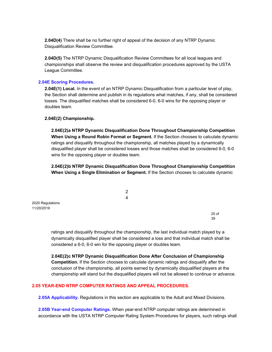**2.04D(4)** There shall be no further right of appeal of the decision of any NTRP Dynamic Disqualification Review Committee.

**2.04D(5)** The NTRP Dynamic Disqualification Review Committees for all local leagues and championships shall observe the review and disqualification procedures approved by the USTA League Committee.

#### **2.04E Scoring Procedures.**

**2.04E(1) Local.** In the event of an NTRP Dynamic Disqualification from a particular level of play, the Section shall determine and publish in its regulations what matches, if any, shall be considered losses. The disqualified matches shall be considered 6-0, 6-0 wins for the opposing player or doubles team.

#### **2.04E(2) Championship.**

**2.04E(2)a NTRP Dynamic Disqualification Done Throughout Championship Competition When Using a Round Robin Format or Segment.** If the Section chooses to calculate dynamic ratings and disqualify throughout the championship, all matches played by a dynamically disqualified player shall be considered losses and those matches shall be considered 6-0, 6-0 wins for the opposing player or doubles team.

**2.04E(2)b NTRP Dynamic Disqualification Done Throughout Championship Competition When Using a Single Elimination or Segment.** If the Section chooses to calculate dynamic

> 2 4

2020 Regulations 11/20/2019

> 25 of 39

ratings and disqualify throughout the championship, the last individual match played by a dynamically disqualified player shall be considered a loss and that individual match shall be considered a 6-0, 6-0 win for the opposing player or doubles team.

**2.04E(2)c NTRP Dynamic Disqualification Done After Conclusion of Championship Competition.** If the Section chooses to calculate dynamic ratings and disqualify after the conclusion of the championship, all points earned by dynamically disqualified players at the championship will stand but the disqualified players will not be allowed to continue or advance.

#### **2.05 YEAR-END NTRP COMPUTER RATINGS AND APPEAL PROCEDURES.**

**2.05A Applicability.** Regulations in this section are applicable to the Adult and Mixed Divisions.

**2.05B Year-end Computer Ratings.** When year-end NTRP computer ratings are determined in accordance with the USTA NTRP Computer Rating System Procedures for players, such ratings shall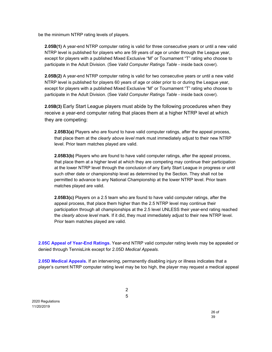be the minimum NTRP rating levels of players.

**2.05B(1)** A year-end NTRP computer rating is valid for three consecutive years or until a new valid NTRP level is published for players who are 59 years of age or under through the League year, except for players with a published Mixed Exclusive "M" or Tournament "T" rating who choose to participate in the Adult Division. (See *Valid Computer Ratings Table -* inside back cover).

**2.05B(2)** A year-end NTRP computer rating is valid for two consecutive years or until a new valid NTRP level is published for players 60 years of age or older prior to or during the League year, except for players with a published Mixed Exclusive "M" or Tournament "T" rating who choose to participate in the Adult Division. (See *Valid Computer Ratings Table -* inside back cover).

**2.05B(3)** Early Start League players must abide by the following procedures when they receive a year-end computer rating that places them at a higher NTRP level at which they are competing:

**2.05B3(a)** Players who are found to have valid computer ratings, after the appeal process, that place them at the *clearly above level* mark must immediately adjust to their new NTRP level. Prior team matches played are valid.

**2.05B3(b)** Players who are found to have valid computer ratings, after the appeal process, that place them at a higher level at which they are competing may continue their participation at the lower NTRP level through the conclusion of any Early Start League in progress or until such other date or championship level as determined by the Section. They shall not be permitted to advance to any National Championship at the lower NTRP level. Prior team matches played are valid.

**2.05B3(c)** Players on a 2.5 team who are found to have valid computer ratings, after the appeal process, that place them higher than the 2.5 NTRP level may continue their participation through all championships at the 2.5 level UNLESS their year-end rating reached the *clearly above level* mark. If it did, they must immediately adjust to their new NTRP level. Prior team matches played are valid.

**2.05C Appeal of Year-End Ratings.** Year-end NTRP valid computer rating levels may be appealed or denied through TennisLink except for 2.05D *Medical Appeals*.

**2.05D Medical Appeals.** If an intervening, permanently disabling injury or illness indicates that a player's current NTRP computer rating level may be too high, the player may request a medical appeal

2020 Regulations 11/20/2019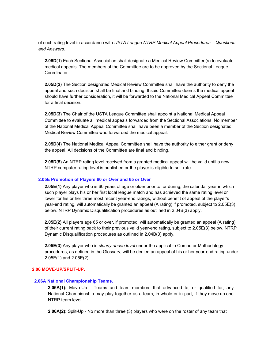of such rating level in accordance with *USTA League NTRP Medical Appeal Procedures – Questions and Answers.*

**2.05D(1)** Each Sectional Association shall designate a Medical Review Committee(s) to evaluate medical appeals. The members of the Committee are to be approved by the Sectional League Coordinator.

**2.05D(2)** The Section designated Medical Review Committee shall have the authority to deny the appeal and such decision shall be final and binding. If said Committee deems the medical appeal should have further consideration, it will be forwarded to the National Medical Appeal Committee for a final decision.

**2.05D(3)** The Chair of the USTA League Committee shall appoint a National Medical Appeal Committee to evaluate all medical appeals forwarded from the Sectional Associations. No member of the National Medical Appeal Committee shall have been a member of the Section designated Medical Review Committee who forwarded the medical appeal.

**2.05D(4)** The National Medical Appeal Committee shall have the authority to either grant or deny the appeal. All decisions of the Committee are final and binding.

**2.05D(5)** An NTRP rating level received from a granted medical appeal will be valid until a new NTRP computer rating level is published or the player is eligible to self-rate.

#### **2.05E Promotion of Players 60 or Over and 65 or Over**

**2.05E(1)** Any player who is 60 years of age or older prior to, or during, the calendar year in which such player plays his or her first local league match and has achieved the same rating level or lower for his or her three most recent year-end ratings, without benefit of appeal of the player's year-end rating, will automatically be granted an appeal (A rating) if promoted, subject to 2.05E(3) below. NTRP Dynamic Disqualification procedures as outlined in 2.04B(3) apply.

**2.05E(2)** All players age 65 or over, if promoted, will automatically be granted an appeal (A rating) of their current rating back to their previous valid year-end rating, subject to 2.05E(3) below. NTRP Dynamic Disqualification procedures as outlined in 2.04B(3) apply.

**2.05E(3)** Any player who is *clearly above level* under the applicable Computer Methodology procedures, as defined in the Glossary, will be denied an appeal of his or her year-end rating under 2.05E(1) and 2.05E(2).

#### **2.06 MOVE-UP/SPLIT-UP.**

#### **2.06A National Championship Teams.**

**2.06A(1):** Move-Up - Teams and team members that advanced to, or qualified for, any National Championship may play together as a team, in whole or in part, if they move up one NTRP team level.

**2.06A(2):** Split-Up - No more than three (3) players who were on the roster of any team that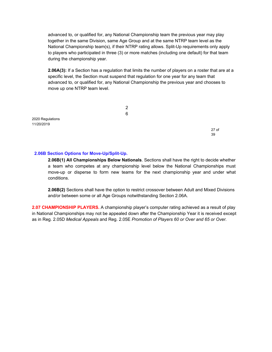advanced to, or qualified for, any National Championship team the previous year may play together in the same Division, same Age Group and at the same NTRP team level as the National Championship team(s), if their NTRP rating allows. Split-Up requirements only apply to players who participated in three (3) or more matches (including one default) for that team during the championship year.

**2.06A(3):** If a Section has a regulation that limits the number of players on a roster that are at a specific level, the Section must suspend that regulation for one year for any team that advanced to, or qualified for, any National Championship the previous year and chooses to move up one NTRP team level.



#### **2.06B Section Options for Move-Up/Split-Up.**

**2.06B(1) All Championships Below Nationals**. Sections shall have the right to decide whether a team who competes at any championship level below the National Championships must move-up or disperse to form new teams for the next championship year and under what conditions.

**2.06B(2)** Sections shall have the option to restrict crossover between Adult and Mixed Divisions and/or between some or all Age Groups notwithstanding Section 2.06A.

**2.07 CHAMPIONSHIP PLAYERS.** A championship player's computer rating achieved as a result of play in National Championships may not be appealed down after the Championship Year it is received except as in Reg. 2.05D *Medical Appeals* and Reg. 2.05E *Promotion of Players 60 or Over and 65 or Over.*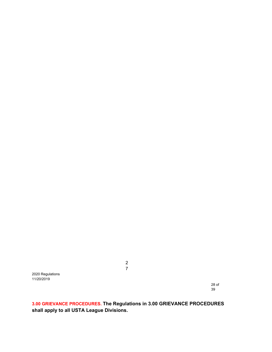Regulations 11/20/2019

 of 

**3.00 GRIEVANCE PROCEDURES. The Regulations in 3.00 GRIEVANCE PROCEDURES shall apply to all USTA League Divisions.**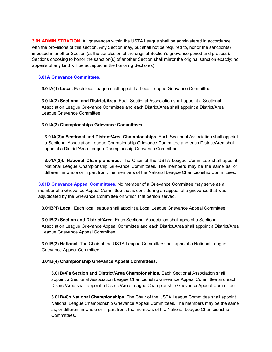**3.01 ADMINISTRATION.** All grievances within the USTA League shall be administered in accordance with the provisions of this section. Any Section may, but shall not be required to, honor the sanction(s) imposed in another Section (at the conclusion of the original Section's grievance period and process). Sections choosing to honor the sanction(s) of another Section shall mirror the original sanction exactly; no appeals of any kind will be accepted in the honoring Section(s).

#### **3.01A Grievance Committees.**

**3.01A(1) Local.** Each local league shall appoint a Local League Grievance Committee.

**3.01A(2) Sectional and District/Area.** Each Sectional Association shall appoint a Sectional Association League Grievance Committee and each District/Area shall appoint a District/Area League Grievance Committee.

**3.01A(3) Championships Grievance Committees.**

**3.01A(3)a Sectional and District/Area Championships.** Each Sectional Association shall appoint a Sectional Association League Championship Grievance Committee and each District/Area shall appoint a District/Area League Championship Grievance Committee.

**3.01A(3)b National Championships.** The Chair of the USTA League Committee shall appoint National League Championship Grievance Committees. The members may be the same as, or different in whole or in part from, the members of the National League Championship Committees.

**3.01B Grievance Appeal Committees.** No member of a Grievance Committee may serve as a member of a Grievance Appeal Committee that is considering an appeal of a grievance that was adjudicated by the Grievance Committee on which that person served.

**3.01B(1) Local**. Each local league shall appoint a Local League Grievance Appeal Committee.

**3.01B(2) Section and District/Area.** Each Sectional Association shall appoint a Sectional Association League Grievance Appeal Committee and each District/Area shall appoint a District/Area League Grievance Appeal Committee.

**3.01B(3) National.** The Chair of the USTA League Committee shall appoint a National League Grievance Appeal Committee.

#### **3.01B(4) Championship Grievance Appeal Committees.**

**3.01B(4)a Section and District/Area Championships.** Each Sectional Association shall appoint a Sectional Association League Championship Grievance Appeal Committee and each District/Area shall appoint a District/Area League Championship Grievance Appeal Committee.

**3.01B(4)b National Championships.** The Chair of the USTA League Committee shall appoint National League Championship Grievance Appeal Committees. The members may be the same as, or different in whole or in part from, the members of the National League Championship Committees.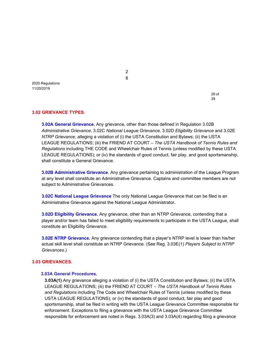2020 Regulations 11/20/2019

> 29 of 39

#### **3.02 GRIEVANCE TYPES.**

**3.02A General Grievance.** Any grievance, other than those defined in Regulation 3.02B *Administrative Grievance*, 3.02C *National League Grievance,* 3.02D *Eligibility Grievance* and 3.02E *NTRP Grievance*, alleging a violation of (i) the USTA Constitution and Bylaws; (ii) the USTA LEAGUE REGULATIONS; (iii) the FRIEND AT COURT *– The USTA Handbook of Tennis Rules and Regulations* including THE CODE and Wheelchair Rules of Tennis (unless modified by these USTA LEAGUE REGULATIONS); or (iv) the standards of good conduct, fair play, and good sportsmanship, shall constitute a General Grievance.

**3.02B Administrative Grievance**. Any grievance pertaining to administration of the League Program at any level shall constitute an Administrative Grievance. Captains and committee members are not subject to Administrative Grievances.

**3.02C National League Grievance** The only National League Grievance that can be filed is an Administrative Grievance against the National League Administrator**.**

**3.02D Eligibility Grievance.** Any grievance, other than an NTRP Grievance, contending that a player and/or team has failed to meet eligibility requirements to participate in the USTA League, shall constitute an Eligibility Grievance.

**3.02E NTRP Grievance.** Any grievance contending that a player's NTRP level is lower than his/her actual skill level shall constitute an NTRP Grievance. (See Reg. 3.03E(1) *Players Subject to NTRP Grievances.*)

#### **3.03 GRIEVANCES.**

#### **3.03A General Procedures.**

**3.03A(1)** Any grievance alleging a violation of (i) the USTA Constitution and Bylaws; (ii) the USTA LEAGUE REGULATIONS; (iii) the FRIEND AT COURT *– The USTA Handbook of Tennis Rules and Regulations* including The Code and Wheelchair Rules of Tennis (unless modified by these USTA LEAGUE REGULATIONS); or (iv) the standards of good conduct, fair play and good sportsmanship, shall be filed in writing with the USTA League Grievance Committee responsible for enforcement. Exceptions to filing a grievance with the USTA League Grievance Committee responsible for enforcement are noted in Regs. 3.03A(3) and 3.03A(4) regarding filing a grievance

2 8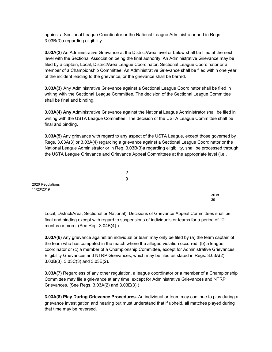against a Sectional League Coordinator or the National League Administrator and in Regs. 3.03B(3)a regarding eligibility.

**3.03A(2)** An Administrative Grievance at the District/Area level or below shall be filed at the next level with the Sectional Association being the final authority. An Administrative Grievance may be filed by a captain, Local, District/Area League Coordinator, Sectional League Coordinator or a member of a Championship Committee. An Administrative Grievance shall be filed within one year of the incident leading to the grievance, or the grievance shall be barred.

**3.03A(3)** Any Administrative Grievance against a Sectional League Coordinator shall be filed in writing with the Sectional League Committee. The decision of the Sectional League Committee shall be final and binding.

**3.03A(4) Any** Administrative Grievance against the National League Administrator shall be filed in writing with the USTA League Committee. The decision of the USTA League Committee shall be final and binding.

**3.03A(5)** Any grievance with regard to any aspect of the USTA League, except those governed by Regs. 3.03A(3) or 3.03A(4) regarding a grievance against a Sectional League Coordinator or the National League Administrator or in Reg. 3.03B(3)a regarding eligibility, shall be processed through the USTA League Grievance and Grievance Appeal Committees at the appropriate level (i.e.,

|                                | 2 |             |
|--------------------------------|---|-------------|
|                                | 9 |             |
| 2020 Regulations<br>11/20/2019 |   |             |
|                                |   | 30 of<br>39 |

Local, District/Area, Sectional or National). Decisions of Grievance Appeal Committees shall be final and binding except with regard to suspensions of individuals or teams for a period of 12 months or more. (See Reg. 3.04B(4).)

**3.03A(6)** Any grievance against an individual or team may only be filed by (a) the team captain of the team who has competed in the match where the alleged violation occurred, (b) a league coordinator or (c) a member of a Championship Committee, except for Administrative Grievances, Eligibility Grievances and NTRP Grievances, which may be filed as stated in Regs. 3.03A(2), 3.03B(3), 3.03C(3) and 3.03E(2).

**3.03A(7)** Regardless of any other regulation, a league coordinator or a member of a Championship Committee may file a grievance at any time, except for Administrative Grievances and NTRP Grievances. (See Regs. 3.03A(2) and 3.03E(3).)

**3.03A(8) Play During Grievance Procedures.** An individual or team may continue to play during a grievance investigation and hearing but must understand that if upheld, all matches played during that time may be reversed.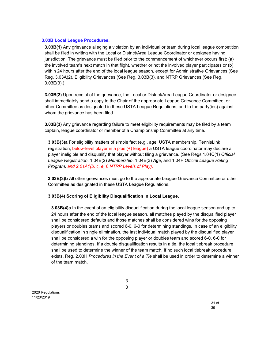#### **3.03B Local League Procedures.**

**3.03B(1)** Any grievance alleging a violation by an individual or team during local league competition shall be filed in writing with the Local or District/Area League Coordinator or designee having jurisdiction. The grievance must be filed prior to the commencement of whichever occurs first: (a) the involved team's next match in that flight, whether or not the involved player participates or (b) within 24 hours after the end of the local league season, except for Administrative Grievances (See Reg. 3.03A(2), Eligibility Grievances (See Reg. 3.03B(3), and NTRP Grievances (See Reg. 3.03E(3).)

**3.03B(2)** Upon receipt of the grievance, the Local or District/Area League Coordinator or designee shall immediately send a copy to the Chair of the appropriate League Grievance Committee, or other Committee as designated in these USTA League Regulations, and to the party(ies) against whom the grievance has been filed.

**3.03B(3)** Any grievance regarding failure to meet eligibility requirements may be filed by a team captain, league coordinator or member of a Championship Committee at any time.

**3.03B(3)a** For eligibility matters of simple fact (e.g., age, USTA membership, TennisLink registration, below-level player in a plus (+) league) a USTA league coordinator may declare a player ineligible and disqualify that player without filing a grievance. (See Regs.1.04C(1) *Official League Registration*, 1.04E(2) *Membership*, 1.04E(3) *Age*, and 1.04F *Official League Rating Program, and 2.01A1(b, c, e, f*. *NTRP Levels of Play).*

**3.03B(3)b** All other grievances must go to the appropriate League Grievance Committee or other Committee as designated in these USTA League Regulations.

## **3.03B(4) Scoring of Eligibility Disqualification in Local League.**

**3.03B(4)a** In the event of an eligibility disqualification during the local league season and up to 24 hours after the end of the local league season, all matches played by the disqualified player shall be considered defaults and those matches shall be considered wins for the opposing players or doubles teams and scored 6-0, 6-0 for determining standings. In case of an eligibility disqualification in single elimination, the last individual match played by the disqualified player shall be considered a win for the opposing player or doubles team and scored 6-0, 6-0 for determining standings. If a double disqualification results in a tie, the local tiebreak procedure shall be used to determine the winner of the team match. If no such local tiebreak procedure exists, Reg. 2.03H *Procedures in the Event of a Tie* shall be used in order to determine a winner of the team match.

> 3  $\Omega$

2020 Regulations 11/20/2019

> 31 of 39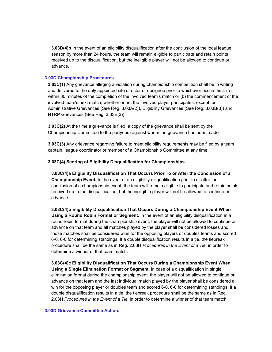**3.03B(4)b** In the event of an eligibility disqualification after the conclusion of the local league season by more than 24 hours, the team will remain eligible to participate and retain points received up to the disqualification, but the ineligible player will not be allowed to continue or advance.

#### **3.03C Championship Procedures.**

**3.03C(1)** Any grievance alleging a violation during championship competition shall be in writing and delivered to the duly appointed site director or designee prior to whichever occurs first: (a) within 30 minutes of the completion of the involved team's match or (b) the commencement of the involved team's next match, whether or not the involved player participates, except for Administrative Grievances (See Reg. 3.03A(2)), Eligibility Grievances (See Reg. 3.03B(3)) and NTRP Grievances (See Reg. 3.03E(3)).

**3.03C(2)** At the time a grievance is filed, a copy of the grievance shall be sent by the Championship Committee to the party(ies) against whom the grievance has been made.

**3.03C(3)** Any grievance regarding failure to meet eligibility requirements may be filed by a team captain, league coordinator or member of a Championship Committee at any time.

#### **3.03C(4) Scoring of Eligibility Disqualification for Championships**.

**3.03C(4)a Eligibility Disqualification That Occurs Prior To or After the Conclusion of a Championship Event.** In the event of an eligibility disqualification prior to or after the conclusion of a championship event, the team will remain eligible to participate and retain points received up to the disqualification, but the ineligible player will not be allowed to continue or advance.

**3.03C(4)b Eligibility Disqualification That Occurs During a Championship Event When Using a Round Robin Format or Segment.** In the event of an eligibility disqualification in a round robin format during the championship event, the player will not be allowed to continue or advance on that team and all matches played by the player shall be considered losses and those matches shall be considered wins for the opposing players or doubles teams and scored 6-0, 6-0 for determining standings. If a double disqualification results in a tie, the tiebreak procedure shall be the same as in Reg. 2.03H *Procedures in the Event of a Tie,* in order to determine a winner of that team match.

**3.03C(4)c Eligibility Disqualification That Occurs During a Championship Event When Using a Single Elimination Format or Segment.** In case of a disqualification in single elimination format during the championship event, the player will not be allowed to continue or advance on that team and the last individual match played by the player shall be considered a win for the opposing player or doubles team and scored 6-0, 6-0 for determining standings. If a double disqualification results in a tie, the tiebreak procedure shall be the same as in Reg. 2.03H *Procedures in the Event of a Tie,* in order to determine a winner of that team match.

#### **3.03D Grievance Committee Action.**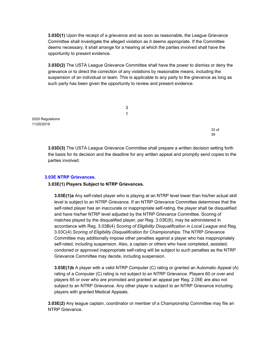**3.03D(1)** Upon the receipt of a grievance and as soon as reasonable, the League Grievance Committee shall investigate the alleged violation as it deems appropriate. If the Committee deems necessary, it shall arrange for a hearing at which the parties involved shall have the opportunity to present evidence.

**3.03D(2)** The USTA League Grievance Committee shall have the power to dismiss or deny the grievance or to direct the correction of any violations by reasonable means, including the suspension of an individual or team. This is applicable to any party to the grievance as long as such party has been given the opportunity to review and present evidence.



**3.03D(3)** The USTA League Grievance Committee shall prepare a written decision setting forth the basis for its decision and the deadline for any written appeal and promptly send copies to the parties involved.

#### **3.03E NTRP Grievances.**

#### **3.03E(1) Players Subject to NTRP Grievances.**

**3.03E(1)a** Any self-rated player who is playing at an NTRP level lower than his/her actual skill level is subject to an NTRP Grievance. If an NTRP Grievance Committee determines that the self-rated player has an inaccurate or inappropriate self-rating, the player shall be disqualified and have his/her NTRP level adjusted by the NTRP Grievance Committee. Scoring of matches played by the disqualified player, per Reg. 3.03E(6), may be administered in accordance with Reg. 3.03B(4) *Scoring of Eligibility Disqualification in Local League* and Reg. 3.03C(4) *Scoring of Eligibility Disqualification for Championships.* The NTRP Grievance Committee may additionally impose other penalties against a player who has inappropriately self-rated, including suspension. Also, a captain or others who have completed, assisted, condoned or approved inappropriate self-rating will be subject to such penalties as the NTRP Grievance Committee may decide, including suspension.

**3.03E(1)b** A player with a valid NTRP Computer (C) rating or granted an Automatic Appeal (A) rating of a Computer (C) rating is not subject to an NTRP Grievance. Players 60 or over and players 65 or over who are promoted and granted an appeal per Reg. 2.05E are also not subject to an NTRP Grievance. Any other player is subject to an NTRP Grievance including players with granted Medical Appeals.

**3.03E(2)** Any league captain, coordinator or member of a Championship Committee may file an NTRP Grievance.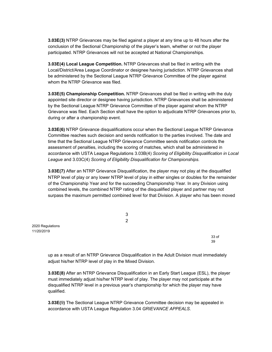**3.03E(3)** NTRP Grievances may be filed against a player at any time up to 48 hours after the conclusion of the Sectional Championship of the player's team, whether or not the player participated. NTRP Grievances will not be accepted at National Championships.

**3.03E(4) Local League Competition.** NTRP Grievances shall be filed in writing with the Local/District/Area League Coordinator or designee having jurisdiction. NTRP Grievances shall be administered by the Sectional League NTRP Grievance Committee of the player against whom the NTRP Grievance was filed.

**3.03E(5) Championship Competition.** NTRP Grievances shall be filed in writing with the duly appointed site director or designee having jurisdiction. NTRP Grievances shall be administered by the Sectional League NTRP Grievance Committee of the player against whom the NTRP Grievance was filed. Each Section shall have the option to adjudicate NTRP Grievances prior to, during or after a championship event.

**3.03E(6)** NTRP Grievance disqualifications occur when the Sectional League NTRP Grievance Committee reaches such decision and sends notification to the parties involved. The date and time that the Sectional League NTRP Grievance Committee sends notification controls the assessment of penalties, including the scoring of matches, which shall be administered in accordance with USTA League Regulations 3.03B(4) *Scoring of Eligibility Disqualification in Local League* and 3.03C(4) *Scoring of Eligibility Disqualification for Championships.*

**3.03E(7)** After an NTRP Grievance Disqualification, the player may not play at the disqualified NTRP level of play or any lower NTRP level of play in either singles or doubles for the remainder of the Championship Year and for the succeeding Championship Year. In any Division using combined levels, the combined NTRP rating of the disqualified player and partner may not surpass the maximum permitted combined level for that Division. A player who has been moved

2020 Regulations 11/20/2019

33 of 39

up as a result of an NTRP Grievance Disqualification in the Adult Division must immediately adjust his/her NTRP level of play in the Mixed Division.

3 2

**3.03E(8)** After an NTRP Grievance Disqualification in an Early Start League (ESL), the player must immediately adjust his/her NTRP level of play. The player may not participate at the disqualified NTRP level in a previous year's championship for which the player may have qualified.

**3.03E(**9**)** The Sectional League NTRP Grievance Committee decision may be appealed in accordance with USTA League Regulation 3.04 *GRIEVANCE APPEALS*.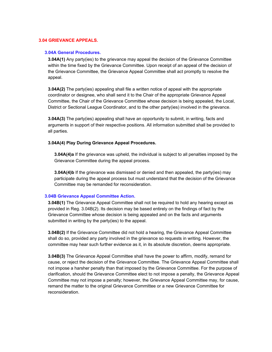#### **3.04 GRIEVANCE APPEALS.**

#### **3.04A General Procedures.**

**3.04A(1)** Any party(ies) to the grievance may appeal the decision of the Grievance Committee within the time fixed by the Grievance Committee. Upon receipt of an appeal of the decision of the Grievance Committee, the Grievance Appeal Committee shall act promptly to resolve the appeal.

**3.04A(2)** The party(ies) appealing shall file a written notice of appeal with the appropriate coordinator or designee, who shall send it to the Chair of the appropriate Grievance Appeal Committee, the Chair of the Grievance Committee whose decision is being appealed, the Local, District or Sectional League Coordinator, and to the other party(ies) involved in the grievance.

**3.04A(3)** The party(ies) appealing shall have an opportunity to submit, in writing, facts and arguments in support of their respective positions. All information submitted shall be provided to all parties.

#### **3.04A(4) Play During Grievance Appeal Procedures.**

**3.04A(4)a** If the grievance was upheld, the individual is subject to all penalties imposed by the Grievance Committee during the appeal process.

**3.04A(4)b** If the grievance was dismissed or denied and then appealed, the party(ies) may participate during the appeal process but must understand that the decision of the Grievance Committee may be remanded for reconsideration.

#### **3.04B Grievance Appeal Committee Action.**

**3.04B(1)** The Grievance Appeal Committee shall not be required to hold any hearing except as provided in Reg. 3.04B(2). Its decision may be based entirely on the findings of fact by the Grievance Committee whose decision is being appealed and on the facts and arguments submitted in writing by the party(ies) to the appeal.

**3.04B(2)** If the Grievance Committee did not hold a hearing, the Grievance Appeal Committee shall do so, provided any party involved in the grievance so requests in writing. However, the committee may hear such further evidence as it, in its absolute discretion, deems appropriate.

**3.04B(3)** The Grievance Appeal Committee shall have the power to affirm, modify, remand for cause, or reject the decision of the Grievance Committee. The Grievance Appeal Committee shall not impose a harsher penalty than that imposed by the Grievance Committee. For the purpose of clarification, should the Grievance Committee elect to not impose a penalty, the Grievance Appeal Committee may not impose a penalty; however, the Grievance Appeal Committee may, for cause, remand the matter to the original Grievance Committee or a new Grievance Committee for reconsideration.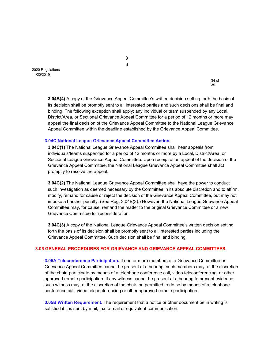2020 Regulations 11/20/2019

> 34 of 39

**3.04B(4)** A copy of the Grievance Appeal Committee's written decision setting forth the basis of its decision shall be promptly sent to all interested parties and such decisions shall be final and binding. The following exception shall apply: any individual or team suspended by any Local, District/Area, or Sectional Grievance Appeal Committee for a period of 12 months or more may appeal the final decision of the Grievance Appeal Committee to the National League Grievance Appeal Committee within the deadline established by the Grievance Appeal Committee.

#### **3.04C National League Grievance Appeal Committee Action.**

**3.04C(1)** The National League Grievance Appeal Committee shall hear appeals from individuals/teams suspended for a period of 12 months or more by a Local, District/Area, or Sectional League Grievance Appeal Committee. Upon receipt of an appeal of the decision of the Grievance Appeal Committee, the National League Grievance Appeal Committee shall act promptly to resolve the appeal.

**3.04C(2)** The National League Grievance Appeal Committee shall have the power to conduct such investigation as deemed necessary by the Committee in its absolute discretion and to affirm, modify, remand for cause or reject the decision of the Grievance Appeal Committee, but may not impose a harsher penalty. (See Reg. 3.04B(3).) However, the National League Grievance Appeal Committee may, for cause, remand the matter to the original Grievance Committee or a new Grievance Committee for reconsideration.

**3.04C(3)** A copy of the National League Grievance Appeal Committee's written decision setting forth the basis of its decision shall be promptly sent to all interested parties including the Grievance Appeal Committee. Such decision shall be final and binding.

#### **3.05 GENERAL PROCEDURES FOR GRIEVANCE AND GRIEVANCE APPEAL COMMITTEES.**

**3.05A Teleconference Participation.** If one or more members of a Grievance Committee or Grievance Appeal Committee cannot be present at a hearing, such members may, at the discretion of the chair, participate by means of a telephone conference call, video teleconferencing, or other approved remote participation. If any witness cannot be present at a hearing to present evidence, such witness may, at the discretion of the chair, be permitted to do so by means of a telephone conference call, video teleconferencing or other approved remote participation.

**3.05B Written Requirement.** The requirement that a notice or other document be in writing is satisfied if it is sent by mail, fax, e-mail or equivalent communication.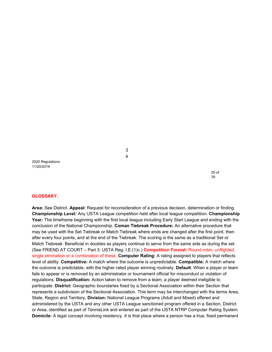2020 Regulations 11/20/2019

> 35 of 39

#### **GLOSSARY.**

**Area:** See District. **Appeal:** Request for reconsideration of a previous decision, determination or finding. **Championship Level:** Any USTA League competition held after local league competition. **Championship Year:** The timeframe beginning with the first local league including Early Start League and ending with the conclusion of the National Championship. **Coman Tiebreak Procedure:** An alternative procedure that may be used with the Set Tiebreak or Match Tiebreak where ends are changed after the first point, then after every four points, and at the end of the Tiebreak. The scoring is the same as a traditional Set or Match Tiebreak. Beneficial in doubles as players continue to serve from the same side as during the set. (See FRIEND AT COURT – Part 3: USTA Reg. I.E.(1)c.) **Competition Format:** Round robin, unflighted, single elmination or a combination of these. **Computer Rating:** A rating assigned to players that reflects level of ability. **Competitive:** A match where the outcome is unpredictable. **Compatible:** A match where the outcome is predictable, with the higher rated player winning routinely. **Default**: When a player or team fails to appear or is removed by an administrator or tournament official for misconduct or violation of regulations. **Disqualification:** Action taken to remove from a team, a player deemed ineligible to participate. **District:** Geographic boundaries fixed by a Sectional Association within their Section that represents a subdivision of the Sectional Association. This term may be interchanged with the terms Area, State, Region and Territory**. Division:** National League Programs (Adult and Mixed) offered and administered by the USTA and any other USTA League sanctioned program offered in a Section, District or Area, identified as part of TennisLink and entered as part of the USTA NTRP Computer Rating System. **Domicile:** A legal concept involving residency. It is that place where a person has a true, fixed permanent

3 4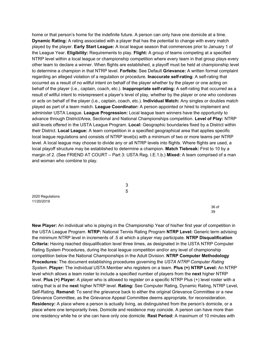home or that person's home for the indefinite future. A person can only have one domicile at a time. **Dynamic Rating:** A rating associated with a player that has the potential to change with every match played by the player. **Early Start League:** A local league season that commences prior to January 1 of the League Year. **Eligibility:** Requirements to play. **Flight:** A group of teams competing at a specified NTRP level within a local league or championship competition where every team in that group plays every other team to declare a winner. When flights are established, a playoff must be held at championship level to determine a champion in that NTRP level. **Forfeits:** See Default **Grievance:** A written formal complaint regarding an alleged violation of a regulation or procedure. **Inaccurate self-rating**: A self-rating that occurred as a result of no willful intent on behalf of the player whether by the player or one acting on behalf of the player (i.e., captain, coach, etc.). **Inappropriate self-rating:** A self-rating that occurred as a result of willful intent to misrepresent a player's level of play, whether by the player or one who condones or acts on behalf of the player (i.e., captain, coach, etc.). **Individual Match:** Any singles or doubles match played as part of a team match. **League Coordinator:** A person appointed or hired to implement and administer USTA League. **League Progression:** Local league team winners have the opportunity to advance through District/Area, Sectional and National Championships competition. **Level of Play:** NTRP skill levels offered in the USTA League Program. **Local:** Geographic boundaries fixed by a District within their District. **Local League:** A team competition in a specified geographical area that applies specific local league regulations and consists of NTRP level(s) with a minimum of two or more teams per NTRP level. A local league may choose to divide any or all NTRP levels into flights. Where flights are used, a local playoff structure may be established to determine a champion. **Match Tiebreak:** First to 10 by a margin of 2. (See FRIEND AT COURT – Part 3: USTA Reg. I.E.1.b.) **Mixed:** A team comprised of a man and woman who combine to play.

> 3 5

2020 Regulations 11/20/2019

> 36 of 39

**New Player:** An individual who is playing in the Championship Year of his/her first year of competition in the USTA League Program. **NTRP:** National Tennis Rating Program **NTRP Level:** Generic term advising the minimum NTRP level in increments of .5 at which a player may participate. **NTRP Disqualification Criteria:** Having reached disqualification level three times, as designated in the USTA NTRP Computer Rating System Procedures, during the local league competition and/or any level of championship competition below the National Championships in the Adult Division. **NTRP Computer Methodology Procedures:** The document establishing procedures governing the *USTA NTRP Computer Rating System*. **Player:** The individual USTA Member who registers on a team. **Plus (+) NTRP Level:** An NTRP level which allows a team roster to include a specified number of players from the **next** higher NTRP level. **Plus (+) Player:** A player who is allowed to register on a specific NTRP Plus (+) level roster with a rating that is at the **next** higher NTRP level. **Rating:** See Computer Rating, Dynamic Rating, NTRP Level, Self-Rating. **Remand:** To send the grievance back to either the original Grievance Committee or a new Grievance Committee, as the Grievance Appeal Committee deems appropriate, for reconsideration. **Residency:** A place where a person is actually living, as distinguished from the person's domicile, or a place where one temporarily lives. Domicile and residence may coincide. A person can have more than one residency while he or she can have only one domicile. **Rest Period:** A maximum of 10 minutes with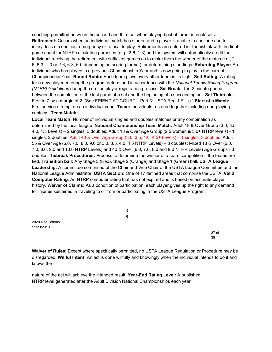coaching permitted between the second and third set when playing best of three tiebreak sets. **Retirement:** Occurs when an individual match has started and a player is unable to continue due to injury, loss of condition, emergency or refusal to play. Retirements are entered in TennisLink with the final game count for NTRP calculation purposes (e.g., 2-6, 1-3) and the system will automatically credit the individual receiving the retirement with sufficient games as to make them the winner of the match (i.e., 2- 6, 6-3, 1-0 or 2-6, 6-3, 6-0 depending on scoring format) for determining standings. **Returning Player:** An individual who has played in a previous Championship Year and is now going to play in the current Championship Year. **Round Robin:** Each team plays every other team in its flight. **Self-Rating:** A rating for a new player entering the program determined in accordance with the *National Tennis Rating Program (NTRP) Guidelines* during the on-line player registration process. **Set Break:** The 2 minute period between the completion of the last game of a set and the beginning of a succeeding set. **Set Tiebreak:** First to 7 by a margin of 2. (See FRIEND AT COURT – Part 3: USTA Reg. I.E.1.a.) **Start of a Match:** First service attempt on an individual court. **Team:** Individuals rostered together including non-playing captains. **Team Match:**

**Local Team Match:** Number of individual singles and doubles matches or any combination as determined by the local league. **National Championship Team Match:** Adult 18 & Over Group (3.0, 3.5, 4,0, 4.5 Levels) – 2 singles, 3 doubles; Adult 18 & Over Age Group (2.5 women & 5.0+ NTRP levels) - 1 singles, 2 doubles; Adult 40 & Over Age Group (3.0, 3.5, 4.0, 4.5+ Levels) – 1 singles, 3 doubles; Adult 55 & Over Age (6.0, 7.0, 8.0, 9.0 or 3.0, 3.5, 4.0, 4.5 NTRP Levels) – 3 doubles; Mixed 18 & Over (6.0, 7.0, 8.0, 9.0 and 10.0 NTRP Levels) and 40 & Over (6.0, 7.0, 8.0 and 9.0 NTRP Levels) Age Groups - 3 doubles. **Tiebreak Procedures:** Process to determine the winner of a team competition if the teams are tied. **Transition ball:** Any Stage 3 (Red), Stage 2 (Orange) and Stage 1 (Green) ball. **USTA League Leadership:** A committee comprised of the Chair and Vice Chair of the USTA League Committee and the National League Administrator. **USTA Section:** One of 17 defined areas that comprise the USTA. **Valid Computer Rating**: An NTRP computer rating that has not expired and is based on accurate player history. **Waiver of Claims:** As a condition of participation, each player gives up the right to any demand for injuries sustained in traveling to or from or participating in the USTA League Program.

2020 Regulations 11/20/2019

> 37 of 39

**Waiver of Rules:** Except where specifically permitted, no USTA League Regulation or Procedure may be disregarded. **Willful Intent:** An act is done willfully and knowingly when the individual intends to do it and knows the

3 6

nature of the act will achieve the intended result. **Year-End Rating Level:** A published NTRP level generated after the Adult Division National Championships each year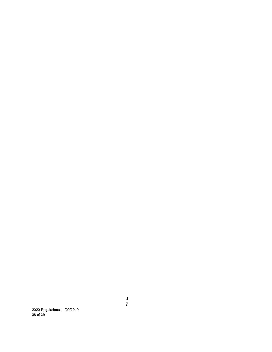2020 Regulations 11/20/2019 3 8 o f 3 9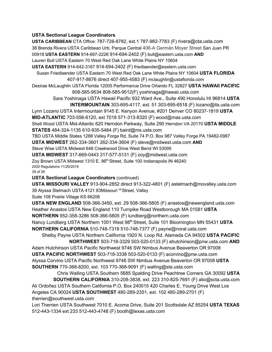# **USTA Sectional League Coordinators**

**USTA CARIBBEAN** CTA Office: 787-726-8782, ext.1 787-982-7783 (F) rivera@cta.usta.com 38 Brenda Rivera USTA Caribbean Urb. Parque Central 406-A Germán Moyer Street San Juan PR 00918 **USTA EASTERN** 914-697-2226 914-694-2402 (F) bull@eastern.usta.com **AND** Lauren Bull USTA Eastern 70 West Red Oak Lane White Plains NY 10604

**USTA EASTERN** 914-642-3167 914-694-2402 (F) friedlaender@eastern.usta.com

Susan Friedlaender USTA Eastern 70 West Red Oak Lane White Plains NY 10604 **USTA FLORIDA** 407-917-8676 direct 407-955-4583 (F) mclaughlin@ustaflorida.com

Desirae McLaughlin USTA Florida 12005 Performance Drive Orlando FL 32827 **USTA HAWAII PACIFIC** 808-585-9534 808-585-9512(F) yoshinaga@hawaii.usta.com

Sara Yoshinaga USTA Hawaii Pacific 932 Ward Ave., Suite 490 Honolulu HI 96814 **USTA**

**INTERMOUNTAIN** 303-695-4117, ext. 51 303-695-6518 (F) lozano@ita.usta.com Lynn Lozano USTA Intermountain 9145 E. Kenyon Avenue, #201 Denver CO 80237-1819 **USTA**

**MID-ATLANTIC** 703-556-6120, ext 7018 571-313-8320 (F) wood@mas.usta.com

Shell Wood USTA Mid-Atlantic 620 Herndon Parkway, Suite 290 Herndon VA 20170 **USTA MIDDLE STATES** 484-324-1135 610-935-5484 (F) baird@ms.usta.com

TBD USTA Middle States 1288 Valley Forge Rd, Suite 74 P.O. Box 987 Valley Forge PA 19482-0987

**USTA MIDWEST** 262-334-3601 262-334-3604 (F) steve@midwest.usta.com **AND**

Steve Wise USTA Midwest 648 Creekwood Drive West Bend WI 53095

**USTA MIDWEST** 317-669-0443 317-577-5131 (F) zoy@midwest.usta.com

Zoy Brown USTA Midwest 1310 E. 96<sup>th</sup> Street, Suite 100 Indianapolis IN 46240 2020 Regulations 11/20/2019

39 of 39

**USTA Sectional League Coordinators** (continued)

**USTA MISSOURI VALLEY** 913-904-2852 direct 913-322-4801 (F) astelmach@movalley.usta.com 39 Alyssa Stelmach USTA 4121 83Missouri<sup>rd</sup> Street, Valley

Suite 108 Prairie Village KS 66208

**USTA NEW ENGLAND** 508-366-3450, ext. 29 508-366-5805 (F) anastos@newengland.usta.com Heather Anastos USTA New England 110 Turnpike Road Westborough MA 01581 **USTA NORTHERN** 952-358-3286 508-366-5805 (F) lundberg@northern.usta.com

Nancy Lundberg USTA Northern 1001 West 98<sup>th</sup> Street, Suite 101 Bloomington MN 55431 USTA **NORTHERN CALIFORNIA** 510-748-7318 510-748-7377 (F) payne@noral.usta.com

Shelby Payne USTA Northern California 1920 N. Loop Rd. Alameda CA 94502 **USTA PACIFIC**

**NORTHWEST** 503-718-3329 503-520-0133 (F) ahutchinson@pnw.usta.com **AND** Adam Hutchinson USTA Pacific Northwest 9746 SW Nimbus Avenue Beaverton OR 97008 **USTA PACIFIC NORTHWEST** 503-718-3338 503-520-0133 (F) acorvino@pnw.usta.com Alyssa Corvino USTA Pacific Northwest 9746 SW Nimbus Avenue Beaverton OR 97008 **USTA SOUTHERN** 770-368-8200, ext. 103 770-368-9091 (F) walling@sta.usta.com

Chris Walling USTA Southern 5685 Spalding Drive Peachtree Corners GA 30092 **USTA SOUTHERN CALIFORNIA** 310-208-3838, ext. 223 310-825-7691 (F) alio@scta.usta.com Ali Ordoñez USTA Southern California P.O. Box 240015 420 Charles E. Young Drive West Los Angeles CA 90024 **USTA SOUTHWEST** 480-289-2351, ext. 102 480-289-2701 (F) therrien@southwest.usta.com

Lori Therrien USTA Southwest 7010 E. Acoma Drive, Suite 201 Scottsdale AZ 85254 **USTA TEXAS** 512-443-1334 ext 233 512-443-4748 (F) booth@texas.usta.com